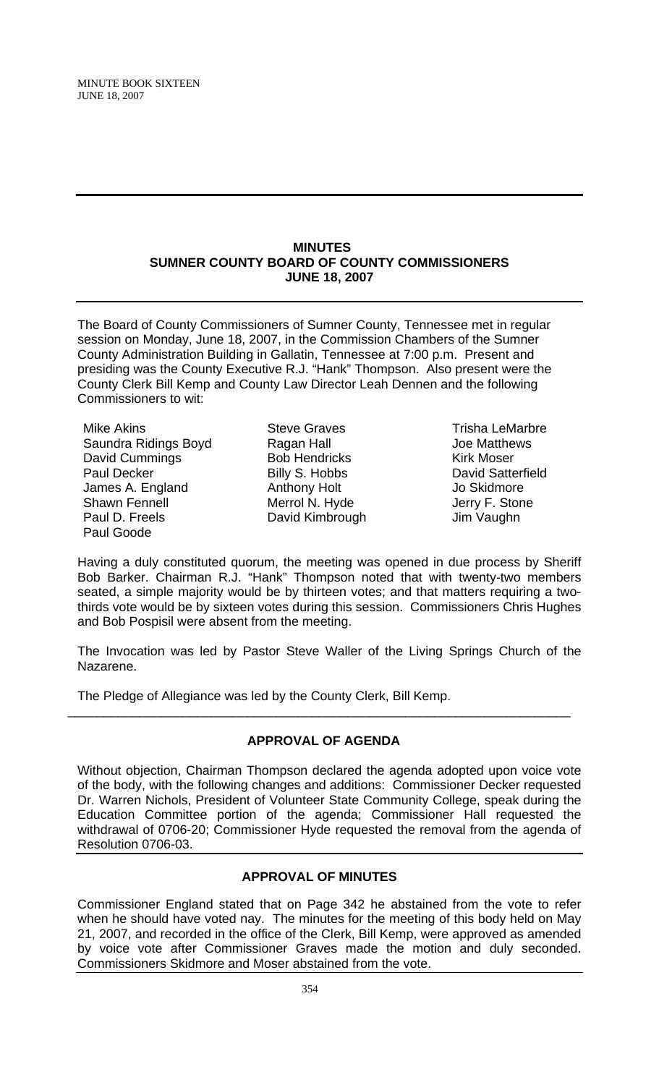#### **MINUTES SUMNER COUNTY BOARD OF COUNTY COMMISSIONERS JUNE 18, 2007**

The Board of County Commissioners of Sumner County, Tennessee met in regular session on Monday, June 18, 2007, in the Commission Chambers of the Sumner County Administration Building in Gallatin, Tennessee at 7:00 p.m. Present and presiding was the County Executive R.J. "Hank" Thompson. Also present were the County Clerk Bill Kemp and County Law Director Leah Dennen and the following Commissioners to wit:

Mike Akins Saundra Ridings Boyd David Cummings Paul Decker James A. England Shawn Fennell Paul D. Freels Paul Goode

Steve Graves Ragan Hall Bob Hendricks Billy S. Hobbs Anthony Holt Merrol N. Hyde David Kimbrough

Trisha LeMarbre Joe Matthews Kirk Moser David Satterfield Jo Skidmore Jerry F. Stone Jim Vaughn

Having a duly constituted quorum, the meeting was opened in due process by Sheriff Bob Barker. Chairman R.J. "Hank" Thompson noted that with twenty-two members seated, a simple majority would be by thirteen votes; and that matters requiring a twothirds vote would be by sixteen votes during this session. Commissioners Chris Hughes and Bob Pospisil were absent from the meeting.

The Invocation was led by Pastor Steve Waller of the Living Springs Church of the Nazarene.

The Pledge of Allegiance was led by the County Clerk, Bill Kemp.

# **APPROVAL OF AGENDA**

\_\_\_\_\_\_\_\_\_\_\_\_\_\_\_\_\_\_\_\_\_\_\_\_\_\_\_\_\_\_\_\_\_\_\_\_\_\_\_\_\_\_\_\_\_\_\_\_\_\_\_\_\_\_\_\_\_\_\_\_\_\_\_\_\_\_\_\_\_\_

Without objection, Chairman Thompson declared the agenda adopted upon voice vote of the body, with the following changes and additions: Commissioner Decker requested Dr. Warren Nichols, President of Volunteer State Community College, speak during the Education Committee portion of the agenda; Commissioner Hall requested the withdrawal of 0706-20; Commissioner Hyde requested the removal from the agenda of Resolution 0706-03.

# **APPROVAL OF MINUTES**

Commissioner England stated that on Page 342 he abstained from the vote to refer when he should have voted nay. The minutes for the meeting of this body held on May 21, 2007, and recorded in the office of the Clerk, Bill Kemp, were approved as amended by voice vote after Commissioner Graves made the motion and duly seconded. Commissioners Skidmore and Moser abstained from the vote.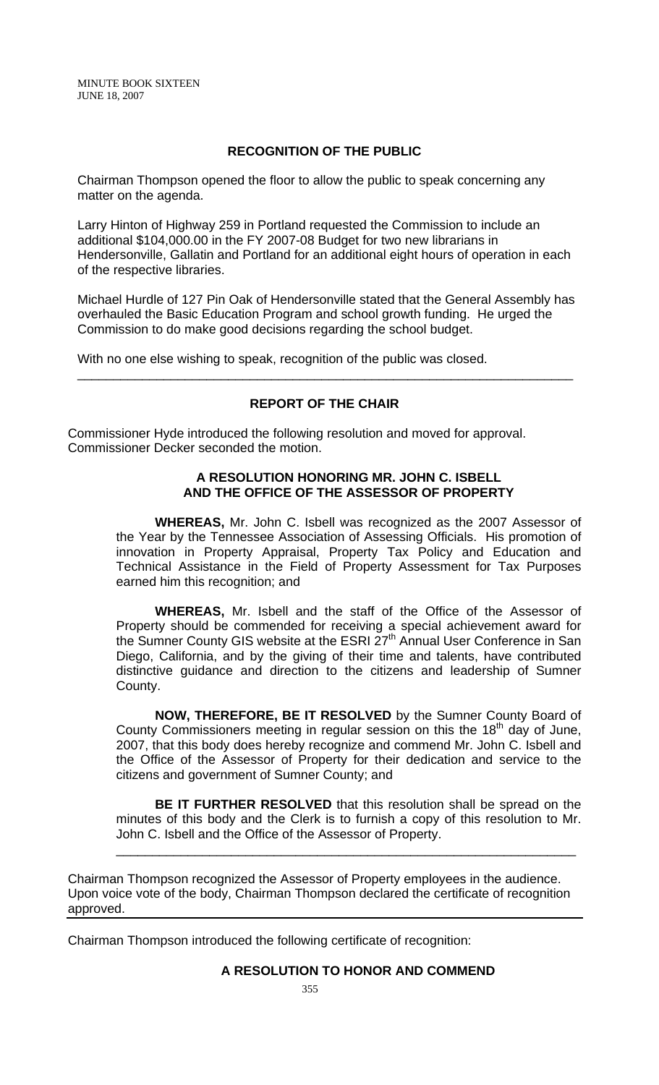## **RECOGNITION OF THE PUBLIC**

Chairman Thompson opened the floor to allow the public to speak concerning any matter on the agenda.

Larry Hinton of Highway 259 in Portland requested the Commission to include an additional \$104,000.00 in the FY 2007-08 Budget for two new librarians in Hendersonville, Gallatin and Portland for an additional eight hours of operation in each of the respective libraries.

Michael Hurdle of 127 Pin Oak of Hendersonville stated that the General Assembly has overhauled the Basic Education Program and school growth funding. He urged the Commission to do make good decisions regarding the school budget.

With no one else wishing to speak, recognition of the public was closed.

## **REPORT OF THE CHAIR**

\_\_\_\_\_\_\_\_\_\_\_\_\_\_\_\_\_\_\_\_\_\_\_\_\_\_\_\_\_\_\_\_\_\_\_\_\_\_\_\_\_\_\_\_\_\_\_\_\_\_\_\_\_\_\_\_\_\_\_\_\_\_\_\_\_\_\_\_\_

Commissioner Hyde introduced the following resolution and moved for approval. Commissioner Decker seconded the motion.

#### **A RESOLUTION HONORING MR. JOHN C. ISBELL AND THE OFFICE OF THE ASSESSOR OF PROPERTY**

 **WHEREAS,** Mr. John C. Isbell was recognized as the 2007 Assessor of the Year by the Tennessee Association of Assessing Officials. His promotion of innovation in Property Appraisal, Property Tax Policy and Education and Technical Assistance in the Field of Property Assessment for Tax Purposes earned him this recognition; and

**WHEREAS,** Mr. Isbell and the staff of the Office of the Assessor of Property should be commended for receiving a special achievement award for the Sumner County GIS website at the ESRI 27<sup>th</sup> Annual User Conference in San Diego, California, and by the giving of their time and talents, have contributed distinctive guidance and direction to the citizens and leadership of Sumner County.

**NOW, THEREFORE, BE IT RESOLVED** by the Sumner County Board of County Commissioners meeting in regular session on this the  $18<sup>th</sup>$  day of June, 2007, that this body does hereby recognize and commend Mr. John C. Isbell and the Office of the Assessor of Property for their dedication and service to the citizens and government of Sumner County; and

**BE IT FURTHER RESOLVED** that this resolution shall be spread on the minutes of this body and the Clerk is to furnish a copy of this resolution to Mr. John C. Isbell and the Office of the Assessor of Property.

\_\_\_\_\_\_\_\_\_\_\_\_\_\_\_\_\_\_\_\_\_\_\_\_\_\_\_\_\_\_\_\_\_\_\_\_\_\_\_\_\_\_\_\_\_\_\_\_\_\_\_\_\_\_\_\_\_\_\_\_\_\_\_\_

Chairman Thompson recognized the Assessor of Property employees in the audience. Upon voice vote of the body, Chairman Thompson declared the certificate of recognition approved.

Chairman Thompson introduced the following certificate of recognition:

#### **A RESOLUTION TO HONOR AND COMMEND**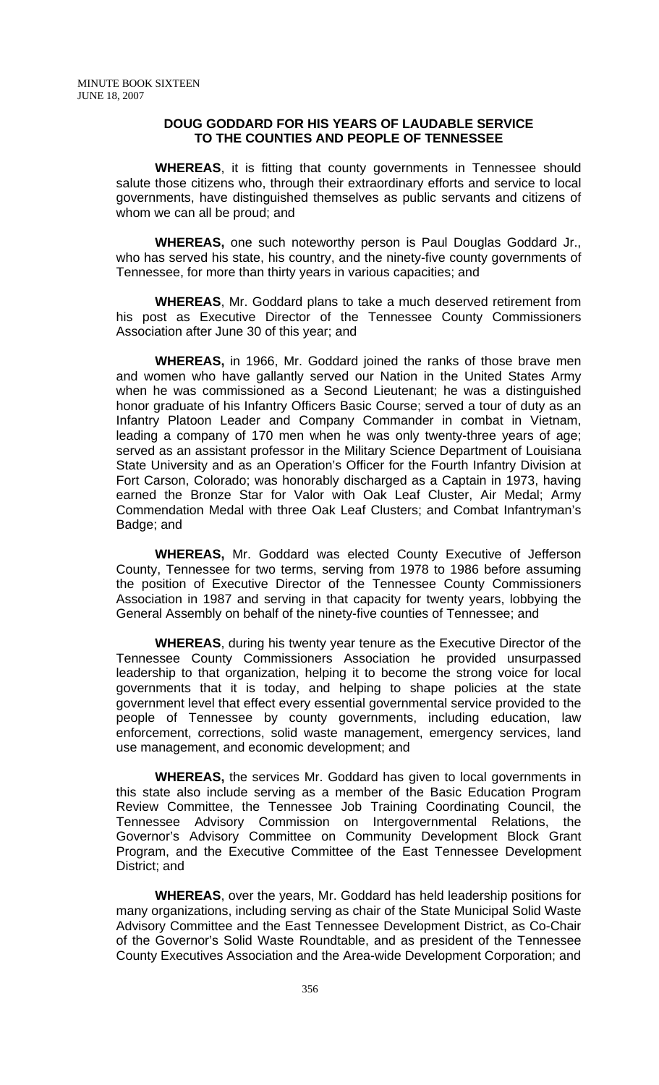#### **DOUG GODDARD FOR HIS YEARS OF LAUDABLE SERVICE TO THE COUNTIES AND PEOPLE OF TENNESSEE**

**WHEREAS**, it is fitting that county governments in Tennessee should salute those citizens who, through their extraordinary efforts and service to local governments, have distinguished themselves as public servants and citizens of whom we can all be proud; and

**WHEREAS,** one such noteworthy person is Paul Douglas Goddard Jr., who has served his state, his country, and the ninety-five county governments of Tennessee, for more than thirty years in various capacities; and

**WHEREAS**, Mr. Goddard plans to take a much deserved retirement from his post as Executive Director of the Tennessee County Commissioners Association after June 30 of this year; and

**WHEREAS,** in 1966, Mr. Goddard joined the ranks of those brave men and women who have gallantly served our Nation in the United States Army when he was commissioned as a Second Lieutenant; he was a distinguished honor graduate of his Infantry Officers Basic Course; served a tour of duty as an Infantry Platoon Leader and Company Commander in combat in Vietnam, leading a company of 170 men when he was only twenty-three years of age; served as an assistant professor in the Military Science Department of Louisiana State University and as an Operation's Officer for the Fourth Infantry Division at Fort Carson, Colorado; was honorably discharged as a Captain in 1973, having earned the Bronze Star for Valor with Oak Leaf Cluster, Air Medal; Army Commendation Medal with three Oak Leaf Clusters; and Combat Infantryman's Badge; and

**WHEREAS,** Mr. Goddard was elected County Executive of Jefferson County, Tennessee for two terms, serving from 1978 to 1986 before assuming the position of Executive Director of the Tennessee County Commissioners Association in 1987 and serving in that capacity for twenty years, lobbying the General Assembly on behalf of the ninety-five counties of Tennessee; and

**WHEREAS**, during his twenty year tenure as the Executive Director of the Tennessee County Commissioners Association he provided unsurpassed leadership to that organization, helping it to become the strong voice for local governments that it is today, and helping to shape policies at the state government level that effect every essential governmental service provided to the people of Tennessee by county governments, including education, law enforcement, corrections, solid waste management, emergency services, land use management, and economic development; and

**WHEREAS,** the services Mr. Goddard has given to local governments in this state also include serving as a member of the Basic Education Program Review Committee, the Tennessee Job Training Coordinating Council, the Tennessee Advisory Commission on Intergovernmental Relations, the Governor's Advisory Committee on Community Development Block Grant Program, and the Executive Committee of the East Tennessee Development District; and

**WHEREAS**, over the years, Mr. Goddard has held leadership positions for many organizations, including serving as chair of the State Municipal Solid Waste Advisory Committee and the East Tennessee Development District, as Co-Chair of the Governor's Solid Waste Roundtable, and as president of the Tennessee County Executives Association and the Area-wide Development Corporation; and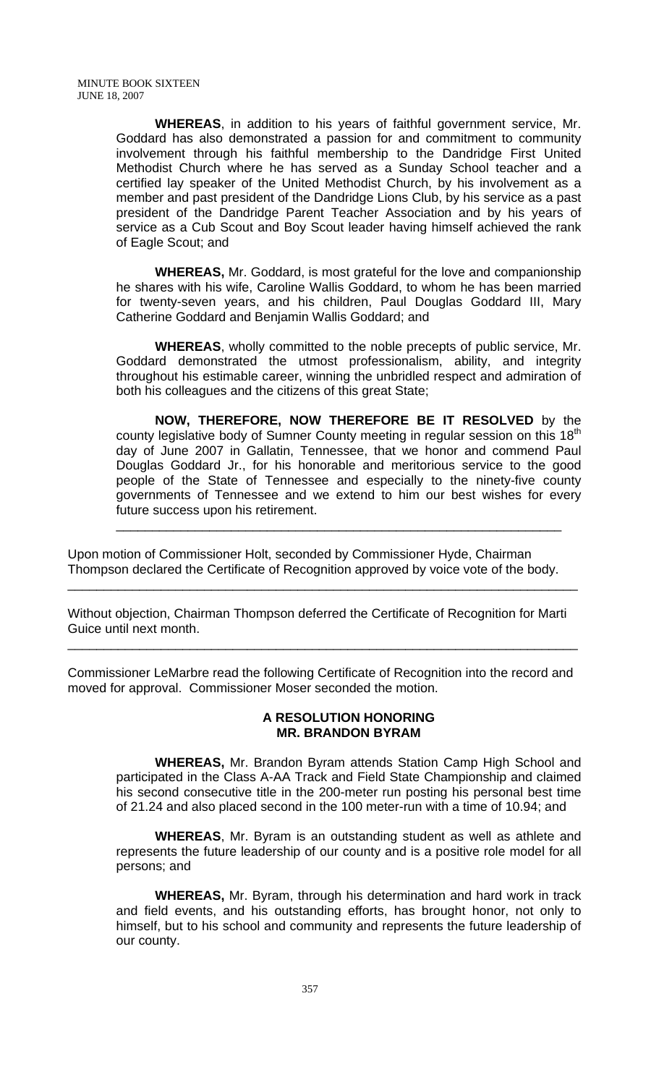**WHEREAS**, in addition to his years of faithful government service, Mr. Goddard has also demonstrated a passion for and commitment to community involvement through his faithful membership to the Dandridge First United Methodist Church where he has served as a Sunday School teacher and a certified lay speaker of the United Methodist Church, by his involvement as a member and past president of the Dandridge Lions Club, by his service as a past president of the Dandridge Parent Teacher Association and by his years of service as a Cub Scout and Boy Scout leader having himself achieved the rank of Eagle Scout; and

**WHEREAS,** Mr. Goddard, is most grateful for the love and companionship he shares with his wife, Caroline Wallis Goddard, to whom he has been married for twenty-seven years, and his children, Paul Douglas Goddard III, Mary Catherine Goddard and Benjamin Wallis Goddard; and

**WHEREAS**, wholly committed to the noble precepts of public service, Mr. Goddard demonstrated the utmost professionalism, ability, and integrity throughout his estimable career, winning the unbridled respect and admiration of both his colleagues and the citizens of this great State;

**NOW, THEREFORE, NOW THEREFORE BE IT RESOLVED** by the county legislative body of Sumner County meeting in regular session on this 18<sup>th</sup> day of June 2007 in Gallatin, Tennessee, that we honor and commend Paul Douglas Goddard Jr., for his honorable and meritorious service to the good people of the State of Tennessee and especially to the ninety-five county governments of Tennessee and we extend to him our best wishes for every future success upon his retirement.

\_\_\_\_\_\_\_\_\_\_\_\_\_\_\_\_\_\_\_\_\_\_\_\_\_\_\_\_\_\_\_\_\_\_\_\_\_\_\_\_\_\_\_\_\_\_\_\_\_\_\_\_\_\_\_\_\_\_\_\_\_\_

Upon motion of Commissioner Holt, seconded by Commissioner Hyde, Chairman Thompson declared the Certificate of Recognition approved by voice vote of the body.

Without objection, Chairman Thompson deferred the Certificate of Recognition for Marti Guice until next month.

\_\_\_\_\_\_\_\_\_\_\_\_\_\_\_\_\_\_\_\_\_\_\_\_\_\_\_\_\_\_\_\_\_\_\_\_\_\_\_\_\_\_\_\_\_\_\_\_\_\_\_\_\_\_\_\_\_\_\_\_\_\_\_\_\_\_\_\_\_\_\_

Commissioner LeMarbre read the following Certificate of Recognition into the record and moved for approval. Commissioner Moser seconded the motion.

\_\_\_\_\_\_\_\_\_\_\_\_\_\_\_\_\_\_\_\_\_\_\_\_\_\_\_\_\_\_\_\_\_\_\_\_\_\_\_\_\_\_\_\_\_\_\_\_\_\_\_\_\_\_\_\_\_\_\_\_\_\_\_\_\_\_\_\_\_\_\_

#### **A RESOLUTION HONORING MR. BRANDON BYRAM**

 **WHEREAS,** Mr. Brandon Byram attends Station Camp High School and participated in the Class A-AA Track and Field State Championship and claimed his second consecutive title in the 200-meter run posting his personal best time of 21.24 and also placed second in the 100 meter-run with a time of 10.94; and

**WHEREAS**, Mr. Byram is an outstanding student as well as athlete and represents the future leadership of our county and is a positive role model for all persons; and

**WHEREAS,** Mr. Byram, through his determination and hard work in track and field events, and his outstanding efforts, has brought honor, not only to himself, but to his school and community and represents the future leadership of our county.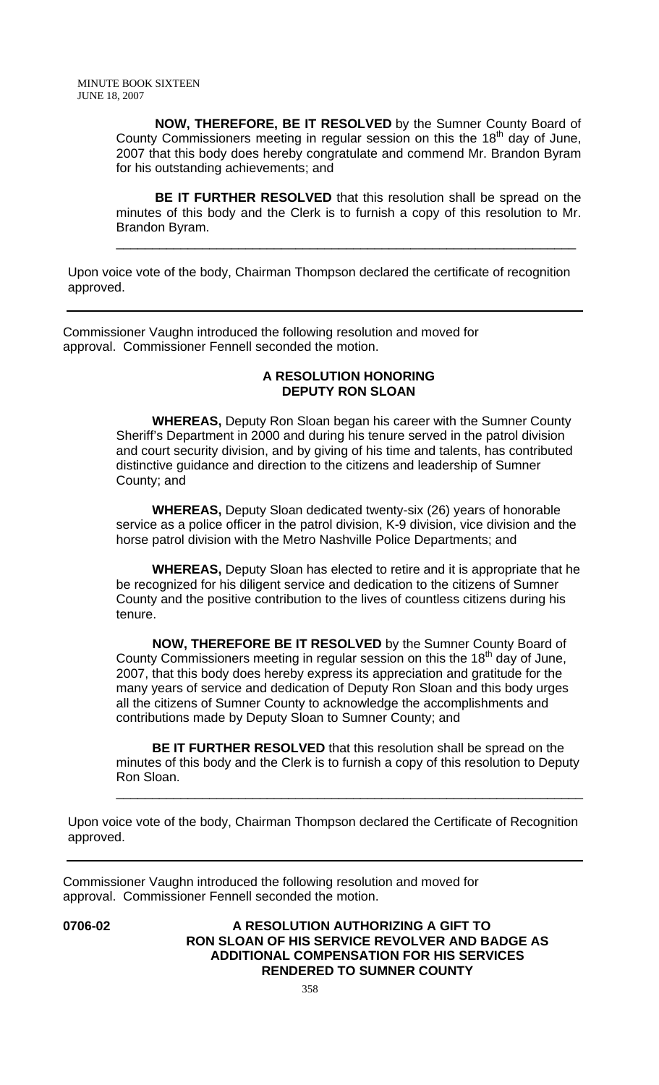**NOW, THEREFORE, BE IT RESOLVED** by the Sumner County Board of County Commissioners meeting in regular session on this the 18<sup>th</sup> day of June, 2007 that this body does hereby congratulate and commend Mr. Brandon Byram for his outstanding achievements; and

**BE IT FURTHER RESOLVED** that this resolution shall be spread on the minutes of this body and the Clerk is to furnish a copy of this resolution to Mr. Brandon Byram.

\_\_\_\_\_\_\_\_\_\_\_\_\_\_\_\_\_\_\_\_\_\_\_\_\_\_\_\_\_\_\_\_\_\_\_\_\_\_\_\_\_\_\_\_\_\_\_\_\_\_\_\_\_\_\_\_\_\_\_\_\_\_\_\_

Upon voice vote of the body, Chairman Thompson declared the certificate of recognition approved.

Commissioner Vaughn introduced the following resolution and moved for approval. Commissioner Fennell seconded the motion.

## **A RESOLUTION HONORING DEPUTY RON SLOAN**

 **WHEREAS,** Deputy Ron Sloan began his career with the Sumner County Sheriff's Department in 2000 and during his tenure served in the patrol division and court security division, and by giving of his time and talents, has contributed distinctive guidance and direction to the citizens and leadership of Sumner County; and

 **WHEREAS,** Deputy Sloan dedicated twenty-six (26) years of honorable service as a police officer in the patrol division, K-9 division, vice division and the horse patrol division with the Metro Nashville Police Departments; and

 **WHEREAS,** Deputy Sloan has elected to retire and it is appropriate that he be recognized for his diligent service and dedication to the citizens of Sumner County and the positive contribution to the lives of countless citizens during his tenure.

 **NOW, THEREFORE BE IT RESOLVED** by the Sumner County Board of County Commissioners meeting in regular session on this the  $18<sup>th</sup>$  day of June, 2007, that this body does hereby express its appreciation and gratitude for the many years of service and dedication of Deputy Ron Sloan and this body urges all the citizens of Sumner County to acknowledge the accomplishments and contributions made by Deputy Sloan to Sumner County; and

 **BE IT FURTHER RESOLVED** that this resolution shall be spread on the minutes of this body and the Clerk is to furnish a copy of this resolution to Deputy Ron Sloan.

Upon voice vote of the body, Chairman Thompson declared the Certificate of Recognition approved.

 $\frac{1}{2}$  ,  $\frac{1}{2}$  ,  $\frac{1}{2}$  ,  $\frac{1}{2}$  ,  $\frac{1}{2}$  ,  $\frac{1}{2}$  ,  $\frac{1}{2}$  ,  $\frac{1}{2}$  ,  $\frac{1}{2}$  ,  $\frac{1}{2}$  ,  $\frac{1}{2}$  ,  $\frac{1}{2}$  ,  $\frac{1}{2}$  ,  $\frac{1}{2}$  ,  $\frac{1}{2}$  ,  $\frac{1}{2}$  ,  $\frac{1}{2}$  ,  $\frac{1}{2}$  ,  $\frac{1$ 

Commissioner Vaughn introduced the following resolution and moved for approval. Commissioner Fennell seconded the motion.

## **0706-02 A RESOLUTION AUTHORIZING A GIFT TO RON SLOAN OF HIS SERVICE REVOLVER AND BADGE AS ADDITIONAL COMPENSATION FOR HIS SERVICES RENDERED TO SUMNER COUNTY**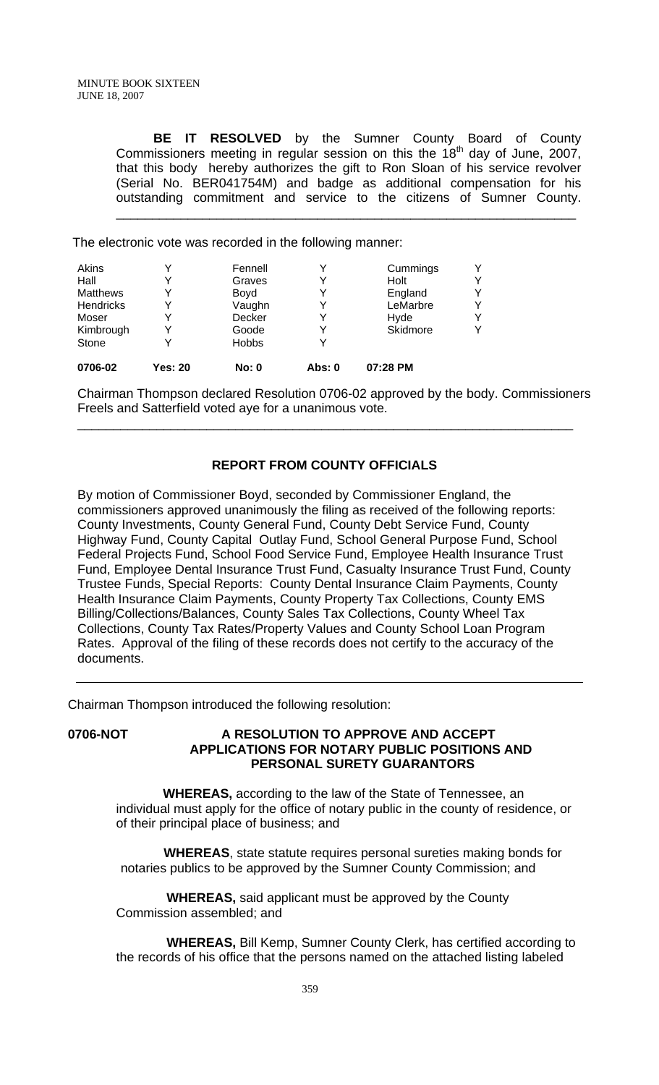**BE IT RESOLVED** by the Sumner County Board of County Commissioners meeting in regular session on this the  $18<sup>th</sup>$  day of June, 2007, that this body hereby authorizes the gift to Ron Sloan of his service revolver (Serial No. BER041754M) and badge as additional compensation for his outstanding commitment and service to the citizens of Sumner County.

\_\_\_\_\_\_\_\_\_\_\_\_\_\_\_\_\_\_\_\_\_\_\_\_\_\_\_\_\_\_\_\_\_\_\_\_\_\_\_\_\_\_\_\_\_\_\_\_\_\_\_\_\_\_\_\_\_\_\_\_\_\_\_\_

The electronic vote was recorded in the following manner:

| Kimbrough<br>Stone<br>0706-02 | v<br>∨<br>Yes: 20 | Goode<br><b>Hobbs</b><br>No: 0 | v<br>Abs: 0 | Skidmore<br>07:28 PM | Υ |
|-------------------------------|-------------------|--------------------------------|-------------|----------------------|---|
| Moser                         | v                 | Decker                         | v           | Hyde                 | Y |
| Hendricks                     | v                 | Vaughn                         | v           | LeMarbre             | Y |
| <b>Matthews</b>               | v                 | Boyd                           |             | England              | Y |
| Hall                          | v                 | Graves                         |             | Holt                 | Y |
| Akins                         | ∨                 | Fennell                        | ∨           | Cummings             | Y |

Chairman Thompson declared Resolution 0706-02 approved by the body. Commissioners Freels and Satterfield voted aye for a unanimous vote.

## **REPORT FROM COUNTY OFFICIALS**

\_\_\_\_\_\_\_\_\_\_\_\_\_\_\_\_\_\_\_\_\_\_\_\_\_\_\_\_\_\_\_\_\_\_\_\_\_\_\_\_\_\_\_\_\_\_\_\_\_\_\_\_\_\_\_\_\_\_\_\_\_\_\_\_\_\_\_\_\_

By motion of Commissioner Boyd, seconded by Commissioner England, the commissioners approved unanimously the filing as received of the following reports: County Investments, County General Fund, County Debt Service Fund, County Highway Fund, County Capital Outlay Fund, School General Purpose Fund, School Federal Projects Fund, School Food Service Fund, Employee Health Insurance Trust Fund, Employee Dental Insurance Trust Fund, Casualty Insurance Trust Fund, County Trustee Funds, Special Reports: County Dental Insurance Claim Payments, County Health Insurance Claim Payments, County Property Tax Collections, County EMS Billing/Collections/Balances, County Sales Tax Collections, County Wheel Tax Collections, County Tax Rates/Property Values and County School Loan Program Rates. Approval of the filing of these records does not certify to the accuracy of the documents.

Chairman Thompson introduced the following resolution:

## **0706-NOT A RESOLUTION TO APPROVE AND ACCEPT APPLICATIONS FOR NOTARY PUBLIC POSITIONS AND PERSONAL SURETY GUARANTORS**

 **WHEREAS,** according to the law of the State of Tennessee, an individual must apply for the office of notary public in the county of residence, or of their principal place of business; and

 **WHEREAS**, state statute requires personal sureties making bonds for notaries publics to be approved by the Sumner County Commission; and

 **WHEREAS,** said applicant must be approved by the County Commission assembled; and

 **WHEREAS,** Bill Kemp, Sumner County Clerk, has certified according to the records of his office that the persons named on the attached listing labeled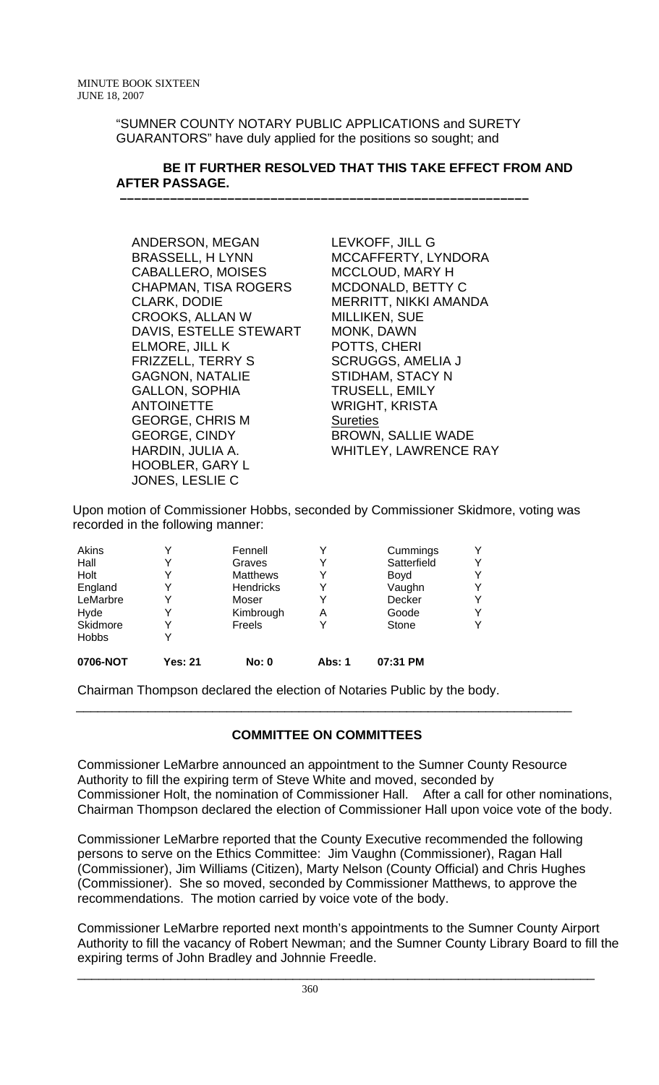"SUMNER COUNTY NOTARY PUBLIC APPLICATIONS and SURETY GUARANTORS" have duly applied for the positions so sought; and

#### **BE IT FURTHER RESOLVED THAT THIS TAKE EFFECT FROM AND AFTER PASSAGE. –––––––––––––––––––––––––––––––––––––––––––––––––––––––––**

ANDERSON, MEGAN BRASSELL, H LYNN CABALLERO, MOISES CHAPMAN, TISA ROGERS CLARK, DODIE CROOKS, ALLAN W DAVIS, ESTELLE STEWART ELMORE, JILL K FRIZZELL, TERRY S GAGNON, NATALIE GALLON, SOPHIA **ANTOINETTE** GEORGE, CHRIS M GEORGE, CINDY HARDIN, JULIA A. HOOBLER, GARY L JONES, LESLIE C

LEVKOFF, JILL G MCCAFFERTY, LYNDORA MCCLOUD, MARY H MCDONALD, BETTY C MERRITT, NIKKI AMANDA MILLIKEN, SUE MONK, DAWN POTTS, CHERI SCRUGGS, AMELIA J STIDHAM, STACY N TRUSELL, EMILY WRIGHT, KRISTA **Sureties** BROWN, SALLIE WADE WHITLEY, LAWRENCE RAY

Upon motion of Commissioner Hobbs, seconded by Commissioner Skidmore, voting was recorded in the following manner:

| 0706-NOT     | Yes: 21 | No: 0            | Abs: 1 | 07:31 PM    |   |
|--------------|---------|------------------|--------|-------------|---|
| <b>Hobbs</b> |         |                  |        |             |   |
| Skidmore     |         | Freels           |        | Stone       | v |
| Hyde         | v       | Kimbrough        | Α      | Goode       | Y |
| LeMarbre     | v       | Moser            |        | Decker      | Y |
| England      |         | <b>Hendricks</b> |        | Vaughn      | Y |
| Holt         |         | <b>Matthews</b>  |        | Boyd        | Y |
| Hall         |         | Graves           |        | Satterfield | Y |
| Akins        | v       | Fennell          |        | Cummings    | Y |

Chairman Thompson declared the election of Notaries Public by the body.

## **COMMITTEE ON COMMITTEES**

\_\_\_\_\_\_\_\_\_\_\_\_\_\_\_\_\_\_\_\_\_\_\_\_\_\_\_\_\_\_\_\_\_\_\_\_\_\_\_\_\_\_\_\_\_\_\_\_\_\_\_\_\_\_\_\_\_\_\_\_\_\_\_\_\_\_\_\_\_

Commissioner LeMarbre announced an appointment to the Sumner County Resource Authority to fill the expiring term of Steve White and moved, seconded by Commissioner Holt, the nomination of Commissioner Hall. After a call for other nominations, Chairman Thompson declared the election of Commissioner Hall upon voice vote of the body.

Commissioner LeMarbre reported that the County Executive recommended the following persons to serve on the Ethics Committee: Jim Vaughn (Commissioner), Ragan Hall (Commissioner), Jim Williams (Citizen), Marty Nelson (County Official) and Chris Hughes (Commissioner). She so moved, seconded by Commissioner Matthews, to approve the recommendations. The motion carried by voice vote of the body.

Commissioner LeMarbre reported next month's appointments to the Sumner County Airport Authority to fill the vacancy of Robert Newman; and the Sumner County Library Board to fill the expiring terms of John Bradley and Johnnie Freedle.

\_\_\_\_\_\_\_\_\_\_\_\_\_\_\_\_\_\_\_\_\_\_\_\_\_\_\_\_\_\_\_\_\_\_\_\_\_\_\_\_\_\_\_\_\_\_\_\_\_\_\_\_\_\_\_\_\_\_\_\_\_\_\_\_\_\_\_\_\_\_\_\_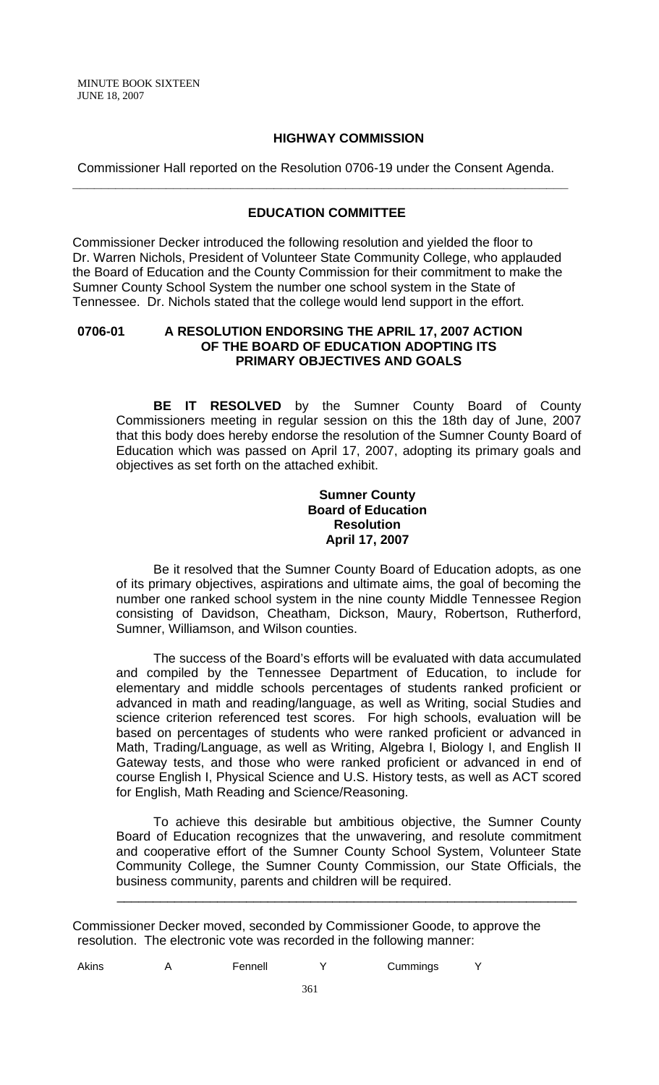#### **HIGHWAY COMMISSION**

Commissioner Hall reported on the Resolution 0706-19 under the Consent Agenda. **\_\_\_\_\_\_\_\_\_\_\_\_\_\_\_\_\_\_\_\_\_\_\_\_\_\_\_\_\_\_\_\_\_\_\_\_\_\_\_\_\_\_\_\_\_\_\_\_\_\_\_\_\_\_\_\_\_\_\_\_\_\_\_\_\_\_\_\_\_** 

## **EDUCATION COMMITTEE**

Commissioner Decker introduced the following resolution and yielded the floor to Dr. Warren Nichols, President of Volunteer State Community College, who applauded the Board of Education and the County Commission for their commitment to make the Sumner County School System the number one school system in the State of Tennessee. Dr. Nichols stated that the college would lend support in the effort.

## **0706-01 A RESOLUTION ENDORSING THE APRIL 17, 2007 ACTION OF THE BOARD OF EDUCATION ADOPTING ITS PRIMARY OBJECTIVES AND GOALS**

**BE IT RESOLVED** by the Sumner County Board of County Commissioners meeting in regular session on this the 18th day of June, 2007 that this body does hereby endorse the resolution of the Sumner County Board of Education which was passed on April 17, 2007, adopting its primary goals and objectives as set forth on the attached exhibit.

## **Sumner County Board of Education Resolution April 17, 2007**

Be it resolved that the Sumner County Board of Education adopts, as one of its primary objectives, aspirations and ultimate aims, the goal of becoming the number one ranked school system in the nine county Middle Tennessee Region consisting of Davidson, Cheatham, Dickson, Maury, Robertson, Rutherford, Sumner, Williamson, and Wilson counties.

The success of the Board's efforts will be evaluated with data accumulated and compiled by the Tennessee Department of Education, to include for elementary and middle schools percentages of students ranked proficient or advanced in math and reading/language, as well as Writing, social Studies and science criterion referenced test scores. For high schools, evaluation will be based on percentages of students who were ranked proficient or advanced in Math, Trading/Language, as well as Writing, Algebra I, Biology I, and English II Gateway tests, and those who were ranked proficient or advanced in end of course English I, Physical Science and U.S. History tests, as well as ACT scored for English, Math Reading and Science/Reasoning.

To achieve this desirable but ambitious objective, the Sumner County Board of Education recognizes that the unwavering, and resolute commitment and cooperative effort of the Sumner County School System, Volunteer State Community College, the Sumner County Commission, our State Officials, the business community, parents and children will be required.

Commissioner Decker moved, seconded by Commissioner Goode, to approve the resolution. The electronic vote was recorded in the following manner:

 $\frac{1}{2}$  ,  $\frac{1}{2}$  ,  $\frac{1}{2}$  ,  $\frac{1}{2}$  ,  $\frac{1}{2}$  ,  $\frac{1}{2}$  ,  $\frac{1}{2}$  ,  $\frac{1}{2}$  ,  $\frac{1}{2}$  ,  $\frac{1}{2}$  ,  $\frac{1}{2}$  ,  $\frac{1}{2}$  ,  $\frac{1}{2}$  ,  $\frac{1}{2}$  ,  $\frac{1}{2}$  ,  $\frac{1}{2}$  ,  $\frac{1}{2}$  ,  $\frac{1}{2}$  ,  $\frac{1$ 

| Akins<br>Fennell<br>Cummings |  |
|------------------------------|--|
|------------------------------|--|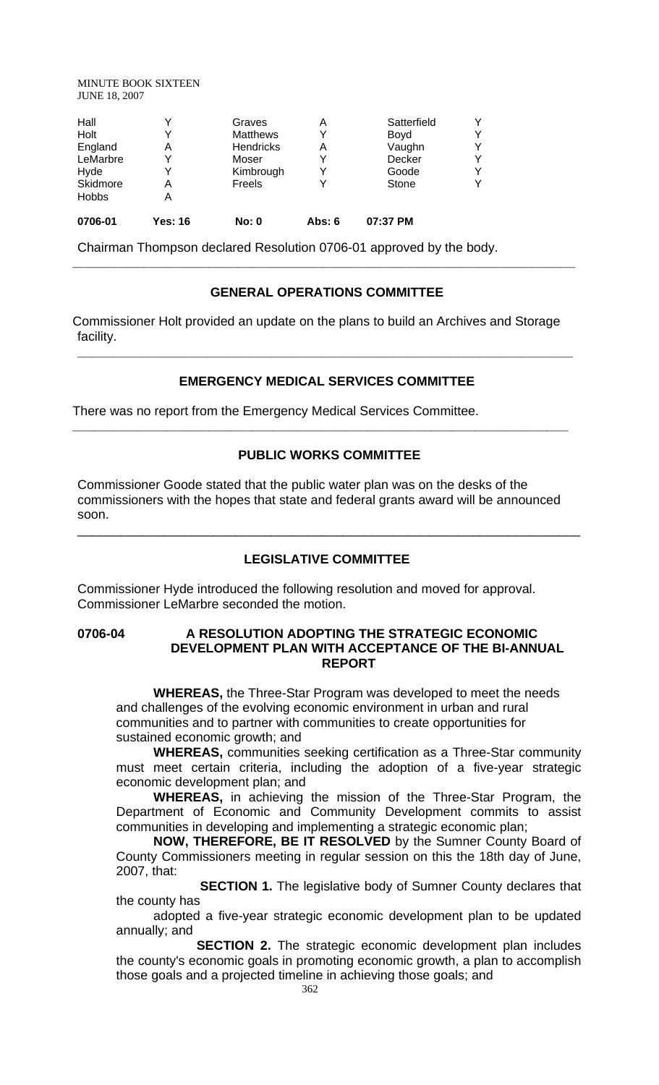| 0706-01      | Yes: 16 | No: 0           | Abs: $6$ | 07:37 PM    |   |
|--------------|---------|-----------------|----------|-------------|---|
| <b>Hobbs</b> | Α       |                 |          |             |   |
| Skidmore     | Α       | Freels          |          | Stone       |   |
| Hyde         |         | Kimbrough       |          | Goode       | Y |
| LeMarbre     |         | Moser           |          | Decker      | Y |
| England      | A       | Hendricks       | Α        | Vaughn      | Y |
| Holt         |         | <b>Matthews</b> |          | Boyd        | Y |
| Hall         |         | Graves          | Α        | Satterfield | Υ |

Chairman Thompson declared Resolution 0706-01 approved by the body.

## **GENERAL OPERATIONS COMMITTEE**

**\_\_\_\_\_\_\_\_\_\_\_\_\_\_\_\_\_\_\_\_\_\_\_\_\_\_\_\_\_\_\_\_\_\_\_\_\_\_\_\_\_\_\_\_\_\_\_\_\_\_\_\_\_\_\_\_\_\_\_\_\_\_\_\_\_\_\_\_\_\_** 

Commissioner Holt provided an update on the plans to build an Archives and Storage facility.

## **EMERGENCY MEDICAL SERVICES COMMITTEE**

**\_\_\_\_\_\_\_\_\_\_\_\_\_\_\_\_\_\_\_\_\_\_\_\_\_\_\_\_\_\_\_\_\_\_\_\_\_\_\_\_\_\_\_\_\_\_\_\_\_\_\_\_\_\_\_\_\_\_\_\_\_\_\_\_\_\_\_\_\_** 

There was no report from the Emergency Medical Services Committee.

## **PUBLIC WORKS COMMITTEE**

**\_\_\_\_\_\_\_\_\_\_\_\_\_\_\_\_\_\_\_\_\_\_\_\_\_\_\_\_\_\_\_\_\_\_\_\_\_\_\_\_\_\_\_\_\_\_\_\_\_\_\_\_\_\_\_\_\_\_\_\_\_\_\_\_\_\_\_\_\_** 

Commissioner Goode stated that the public water plan was on the desks of the commissioners with the hopes that state and federal grants award will be announced soon.

#### **LEGISLATIVE COMMITTEE**

\_\_\_\_\_\_\_\_\_\_\_\_\_\_\_\_\_\_\_\_\_\_\_\_\_\_\_\_\_\_\_\_\_\_\_\_\_\_\_\_\_\_\_\_\_\_\_\_\_\_\_\_\_\_\_\_\_\_\_\_\_\_\_\_\_\_\_\_\_\_

Commissioner Hyde introduced the following resolution and moved for approval. Commissioner LeMarbre seconded the motion.

#### **0706-04 A RESOLUTION ADOPTING THE STRATEGIC ECONOMIC DEVELOPMENT PLAN WITH ACCEPTANCE OF THE BI-ANNUAL REPORT**

**WHEREAS,** the Three-Star Program was developed to meet the needs and challenges of the evolving economic environment in urban and rural communities and to partner with communities to create opportunities for sustained economic growth; and

**WHEREAS,** communities seeking certification as a Three-Star community must meet certain criteria, including the adoption of a five-year strategic economic development plan; and

**WHEREAS,** in achieving the mission of the Three-Star Program, the Department of Economic and Community Development commits to assist communities in developing and implementing a strategic economic plan;

**NOW, THEREFORE, BE IT RESOLVED** by the Sumner County Board of County Commissioners meeting in regular session on this the 18th day of June, 2007, that:

**SECTION 1.** The legislative body of Sumner County declares that the county has

adopted a five-year strategic economic development plan to be updated annually; and

**SECTION 2.** The strategic economic development plan includes the county's economic goals in promoting economic growth, a plan to accomplish those goals and a projected timeline in achieving those goals; and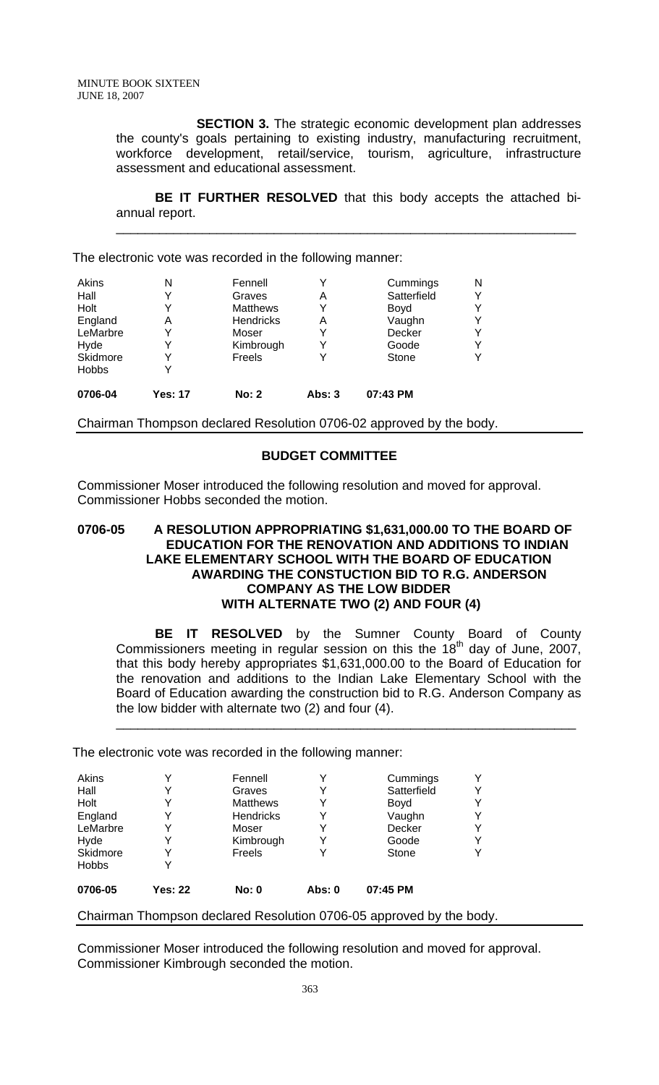**SECTION 3.** The strategic economic development plan addresses the county's goals pertaining to existing industry, manufacturing recruitment, workforce development, retail/service, tourism, agriculture, infrastructure assessment and educational assessment.

**BE IT FURTHER RESOLVED** that this body accepts the attached biannual report.

\_\_\_\_\_\_\_\_\_\_\_\_\_\_\_\_\_\_\_\_\_\_\_\_\_\_\_\_\_\_\_\_\_\_\_\_\_\_\_\_\_\_\_\_\_\_\_\_\_\_\_\_\_\_\_\_\_\_\_\_\_\_\_\_

The electronic vote was recorded in the following manner:

| Akins        | N              | Fennell          |          | Cummings    | N |
|--------------|----------------|------------------|----------|-------------|---|
| Hall         | Y              | Graves           | Α        | Satterfield | Υ |
| Holt         | Y              | <b>Matthews</b>  |          | Boyd        | Y |
| England      | Α              | <b>Hendricks</b> | Α        | Vaughn      | Y |
| LeMarbre     | Y              | Moser            |          | Decker      | Y |
| Hyde         | Y              | Kimbrough        |          | Goode       | Y |
| Skidmore     |                | Freels           |          | Stone       | Y |
| <b>Hobbs</b> |                |                  |          |             |   |
| 0706-04      | <b>Yes: 17</b> | <b>No: 2</b>     | Abs: $3$ | 07:43 PM    |   |

Chairman Thompson declared Resolution 0706-02 approved by the body.

## **BUDGET COMMITTEE**

Commissioner Moser introduced the following resolution and moved for approval. Commissioner Hobbs seconded the motion.

#### **0706-05 A RESOLUTION APPROPRIATING \$1,631,000.00 TO THE BOARD OF EDUCATION FOR THE RENOVATION AND ADDITIONS TO INDIAN LAKE ELEMENTARY SCHOOL WITH THE BOARD OF EDUCATION AWARDING THE CONSTUCTION BID TO R.G. ANDERSON COMPANY AS THE LOW BIDDER WITH ALTERNATE TWO (2) AND FOUR (4)**

**BE IT RESOLVED** by the Sumner County Board of County Commissioners meeting in regular session on this the 18th day of June, 2007, that this body hereby appropriates \$1,631,000.00 to the Board of Education for the renovation and additions to the Indian Lake Elementary School with the Board of Education awarding the construction bid to R.G. Anderson Company as the low bidder with alternate two (2) and four (4).

\_\_\_\_\_\_\_\_\_\_\_\_\_\_\_\_\_\_\_\_\_\_\_\_\_\_\_\_\_\_\_\_\_\_\_\_\_\_\_\_\_\_\_\_\_\_\_\_\_\_\_\_\_\_\_\_\_\_\_\_\_\_\_\_

The electronic vote was recorded in the following manner:

| Akins                                                               |                | Fennell          |          | Cummings    |  |
|---------------------------------------------------------------------|----------------|------------------|----------|-------------|--|
| Hall                                                                |                | Graves           |          | Satterfield |  |
| Holt                                                                |                | <b>Matthews</b>  |          | Boyd        |  |
| England                                                             |                | <b>Hendricks</b> |          | Vaughn      |  |
| LeMarbre                                                            | Y              | Moser            |          | Decker      |  |
| Hyde                                                                | Y              | Kimbrough        |          | Goode       |  |
| Skidmore                                                            | Y              | <b>Freels</b>    |          | Stone       |  |
| <b>Hobbs</b>                                                        |                |                  |          |             |  |
| 0706-05                                                             | <b>Yes: 22</b> | <b>No: 0</b>     | Abs: $0$ | 07:45 PM    |  |
| Chairman Thompson declared Resolution 0706-05 approved by the body. |                |                  |          |             |  |

Commissioner Moser introduced the following resolution and moved for approval. Commissioner Kimbrough seconded the motion.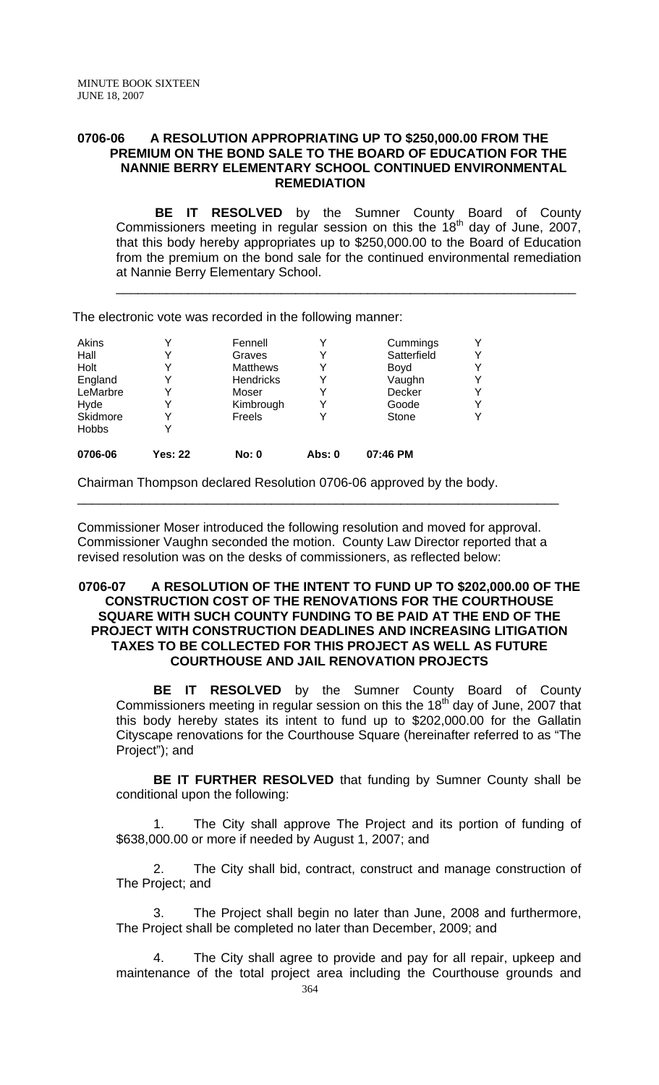#### **0706-06 A RESOLUTION APPROPRIATING UP TO \$250,000.00 FROM THE PREMIUM ON THE BOND SALE TO THE BOARD OF EDUCATION FOR THE NANNIE BERRY ELEMENTARY SCHOOL CONTINUED ENVIRONMENTAL REMEDIATION**

 **BE IT RESOLVED** by the Sumner County Board of County Commissioners meeting in regular session on this the  $18<sup>th</sup>$  day of June, 2007, that this body hereby appropriates up to \$250,000.00 to the Board of Education from the premium on the bond sale for the continued environmental remediation at Nannie Berry Elementary School.

\_\_\_\_\_\_\_\_\_\_\_\_\_\_\_\_\_\_\_\_\_\_\_\_\_\_\_\_\_\_\_\_\_\_\_\_\_\_\_\_\_\_\_\_\_\_\_\_\_\_\_\_\_\_\_\_\_\_\_\_\_\_\_\_

The electronic vote was recorded in the following manner:

| Akins<br>Hall<br>Holt<br>England<br>LeMarbre<br>Hyde<br>Skidmore | ν<br>Y<br>Y<br>v<br>v<br>v | Fennell<br>Graves<br><b>Matthews</b><br><b>Hendricks</b><br>Moser<br>Kimbrough<br>Freels | Y<br>Y   | Cummings<br>Satterfield<br>Boyd<br>Vaughn<br>Decker<br>Goode<br>Stone | Y<br>Y<br>Y<br>Y<br>Y<br>Y<br>Y |
|------------------------------------------------------------------|----------------------------|------------------------------------------------------------------------------------------|----------|-----------------------------------------------------------------------|---------------------------------|
| <b>Hobbs</b>                                                     |                            |                                                                                          |          |                                                                       |                                 |
| 0706-06                                                          | Yes: 22                    | <b>No: 0</b>                                                                             | Abs: $0$ | 07:46 PM                                                              |                                 |

Chairman Thompson declared Resolution 0706-06 approved by the body.

Commissioner Moser introduced the following resolution and moved for approval. Commissioner Vaughn seconded the motion. County Law Director reported that a revised resolution was on the desks of commissioners, as reflected below:

\_\_\_\_\_\_\_\_\_\_\_\_\_\_\_\_\_\_\_\_\_\_\_\_\_\_\_\_\_\_\_\_\_\_\_\_\_\_\_\_\_\_\_\_\_\_\_\_\_\_\_\_\_\_\_\_\_\_\_\_\_\_\_\_\_\_\_

#### **0706-07 A RESOLUTION OF THE INTENT TO FUND UP TO \$202,000.00 OF THE CONSTRUCTION COST OF THE RENOVATIONS FOR THE COURTHOUSE SQUARE WITH SUCH COUNTY FUNDING TO BE PAID AT THE END OF THE PROJECT WITH CONSTRUCTION DEADLINES AND INCREASING LITIGATION TAXES TO BE COLLECTED FOR THIS PROJECT AS WELL AS FUTURE COURTHOUSE AND JAIL RENOVATION PROJECTS**

**BE IT RESOLVED** by the Sumner County Board of County Commissioners meeting in regular session on this the  $18<sup>th</sup>$  day of June, 2007 that this body hereby states its intent to fund up to \$202,000.00 for the Gallatin Cityscape renovations for the Courthouse Square (hereinafter referred to as "The Project"); and

**BE IT FURTHER RESOLVED** that funding by Sumner County shall be conditional upon the following:

The City shall approve The Project and its portion of funding of \$638,000.00 or more if needed by August 1, 2007; and

2. The City shall bid, contract, construct and manage construction of The Project; and

3. The Project shall begin no later than June, 2008 and furthermore, The Project shall be completed no later than December, 2009; and

 364 4. The City shall agree to provide and pay for all repair, upkeep and maintenance of the total project area including the Courthouse grounds and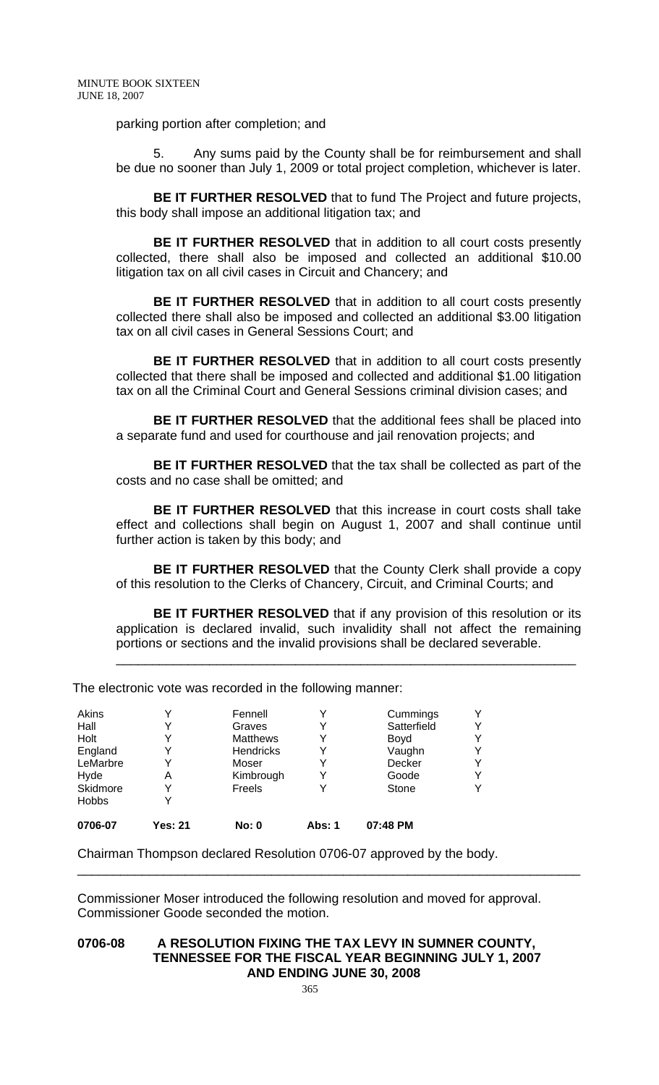parking portion after completion; and

5. Any sums paid by the County shall be for reimbursement and shall be due no sooner than July 1, 2009 or total project completion, whichever is later.

**BE IT FURTHER RESOLVED** that to fund The Project and future projects, this body shall impose an additional litigation tax; and

**BE IT FURTHER RESOLVED** that in addition to all court costs presently collected, there shall also be imposed and collected an additional \$10.00 litigation tax on all civil cases in Circuit and Chancery; and

**BE IT FURTHER RESOLVED** that in addition to all court costs presently collected there shall also be imposed and collected an additional \$3.00 litigation tax on all civil cases in General Sessions Court; and

**BE IT FURTHER RESOLVED** that in addition to all court costs presently collected that there shall be imposed and collected and additional \$1.00 litigation tax on all the Criminal Court and General Sessions criminal division cases; and

**BE IT FURTHER RESOLVED** that the additional fees shall be placed into a separate fund and used for courthouse and jail renovation projects; and

**BE IT FURTHER RESOLVED** that the tax shall be collected as part of the costs and no case shall be omitted; and

**BE IT FURTHER RESOLVED** that this increase in court costs shall take effect and collections shall begin on August 1, 2007 and shall continue until further action is taken by this body; and

**BE IT FURTHER RESOLVED** that the County Clerk shall provide a copy of this resolution to the Clerks of Chancery, Circuit, and Criminal Courts; and

**BE IT FURTHER RESOLVED** that if any provision of this resolution or its application is declared invalid, such invalidity shall not affect the remaining portions or sections and the invalid provisions shall be declared severable.

\_\_\_\_\_\_\_\_\_\_\_\_\_\_\_\_\_\_\_\_\_\_\_\_\_\_\_\_\_\_\_\_\_\_\_\_\_\_\_\_\_\_\_\_\_\_\_\_\_\_\_\_\_\_\_\_\_\_\_\_\_\_\_\_

The electronic vote was recorded in the following manner:

| Akins        | v       | Fennell          |        | Cummings    | Y |
|--------------|---------|------------------|--------|-------------|---|
| Hall         |         | Graves           |        | Satterfield | Y |
| Holt         |         | <b>Matthews</b>  | Y      | Boyd        | Y |
| England      |         | <b>Hendricks</b> |        | Vaughn      | Y |
| LeMarbre     |         | Moser            |        | Decker      | Y |
| Hyde         | Α       | Kimbrough        | Y      | Goode       | Y |
| Skidmore     |         | Freels           |        | Stone       | Y |
| <b>Hobbs</b> |         |                  |        |             |   |
| 0706-07      | Yes: 21 | <b>No: 0</b>     | Abs: 1 | 07:48 PM    |   |

Chairman Thompson declared Resolution 0706-07 approved by the body.

Commissioner Moser introduced the following resolution and moved for approval. Commissioner Goode seconded the motion.

\_\_\_\_\_\_\_\_\_\_\_\_\_\_\_\_\_\_\_\_\_\_\_\_\_\_\_\_\_\_\_\_\_\_\_\_\_\_\_\_\_\_\_\_\_\_\_\_\_\_\_\_\_\_\_\_\_\_\_\_\_\_\_\_\_\_\_\_\_\_

## **0706-08 A RESOLUTION FIXING THE TAX LEVY IN SUMNER COUNTY, TENNESSEE FOR THE FISCAL YEAR BEGINNING JULY 1, 2007 AND ENDING JUNE 30, 2008**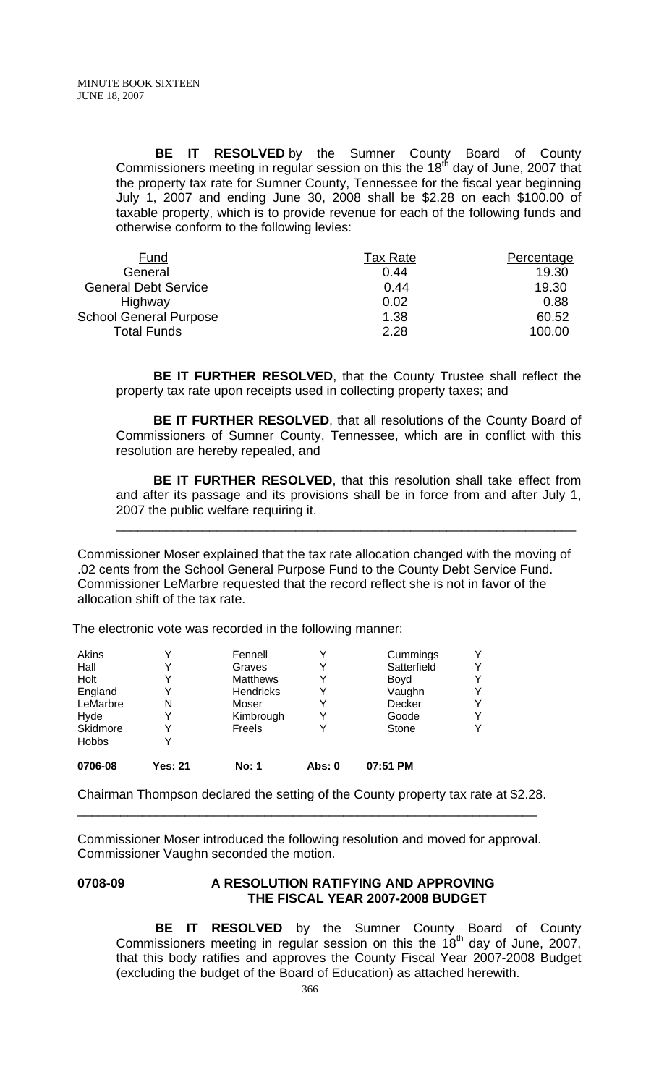**BE IT RESOLVED** by the Sumner County Board of County Commissioners meeting in regular session on this the  $18<sup>th</sup>$  day of June, 2007 that the property tax rate for Sumner County, Tennessee for the fiscal year beginning July 1, 2007 and ending June 30, 2008 shall be \$2.28 on each \$100.00 of taxable property, which is to provide revenue for each of the following funds and otherwise conform to the following levies:

| Fund                          | <b>Tax Rate</b> | Percentage |
|-------------------------------|-----------------|------------|
| General                       | 0.44            | 19.30      |
| <b>General Debt Service</b>   | 0.44            | 19.30      |
| Highway                       | 0.02            | 0.88       |
| <b>School General Purpose</b> | 1.38            | 60.52      |
| <b>Total Funds</b>            | 2.28            | 100.00     |

**BE IT FURTHER RESOLVED**, that the County Trustee shall reflect the property tax rate upon receipts used in collecting property taxes; and

**BE IT FURTHER RESOLVED**, that all resolutions of the County Board of Commissioners of Sumner County, Tennessee, which are in conflict with this resolution are hereby repealed, and

**BE IT FURTHER RESOLVED**, that this resolution shall take effect from and after its passage and its provisions shall be in force from and after July 1, 2007 the public welfare requiring it.

\_\_\_\_\_\_\_\_\_\_\_\_\_\_\_\_\_\_\_\_\_\_\_\_\_\_\_\_\_\_\_\_\_\_\_\_\_\_\_\_\_\_\_\_\_\_\_\_\_\_\_\_\_\_\_\_\_\_\_\_\_\_\_\_

Commissioner Moser explained that the tax rate allocation changed with the moving of .02 cents from the School General Purpose Fund to the County Debt Service Fund. Commissioner LeMarbre requested that the record reflect she is not in favor of the allocation shift of the tax rate.

The electronic vote was recorded in the following manner:

| Akins        |         | Fennell         |          | Cummings    | Y |
|--------------|---------|-----------------|----------|-------------|---|
| Hall         |         | Graves          |          | Satterfield | Y |
| Holt         |         | <b>Matthews</b> |          | Boyd        | Y |
| England      |         | Hendricks       |          | Vaughn      | Y |
| LeMarbre     | N       | Moser           |          | Decker      | Y |
| Hyde         |         | Kimbrough       |          | Goode       | Y |
| Skidmore     |         | Freels          |          | Stone       |   |
| <b>Hobbs</b> |         |                 |          |             |   |
| 0706-08      | Yes: 21 | <b>No: 1</b>    | Abs: $0$ | 07:51 PM    |   |

Chairman Thompson declared the setting of the County property tax rate at \$2.28. \_\_\_\_\_\_\_\_\_\_\_\_\_\_\_\_\_\_\_\_\_\_\_\_\_\_\_\_\_\_\_\_\_\_\_\_\_\_\_\_\_\_\_\_\_\_\_\_\_\_\_\_\_\_\_\_\_\_\_\_\_\_\_\_

Commissioner Moser introduced the following resolution and moved for approval. Commissioner Vaughn seconded the motion.

## **0708-09 A RESOLUTION RATIFYING AND APPROVING THE FISCAL YEAR 2007-2008 BUDGET**

 **BE IT RESOLVED** by the Sumner County Board of County Commissioners meeting in regular session on this the  $18<sup>th</sup>$  day of June, 2007, that this body ratifies and approves the County Fiscal Year 2007-2008 Budget (excluding the budget of the Board of Education) as attached herewith.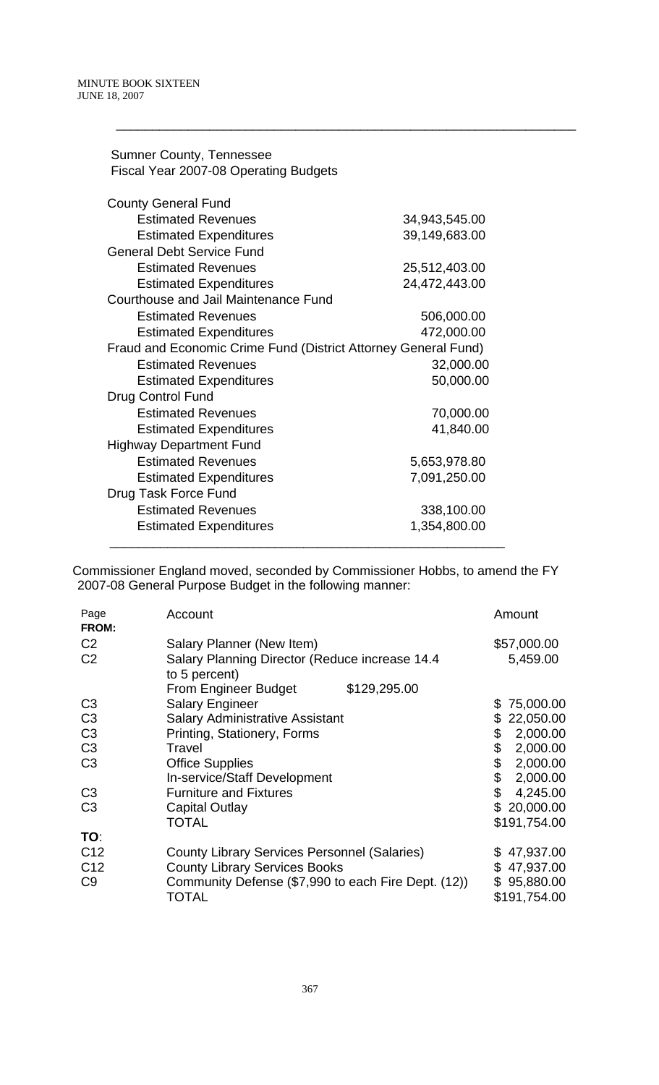Sumner County, Tennessee

| <b>County General Fund</b>                                     |               |
|----------------------------------------------------------------|---------------|
| <b>Estimated Revenues</b>                                      | 34,943,545.00 |
| <b>Estimated Expenditures</b>                                  | 39,149,683.00 |
| <b>General Debt Service Fund</b>                               |               |
| <b>Estimated Revenues</b>                                      | 25,512,403.00 |
| <b>Estimated Expenditures</b>                                  | 24,472,443.00 |
| <b>Courthouse and Jail Maintenance Fund</b>                    |               |
| <b>Estimated Revenues</b>                                      | 506,000.00    |
| <b>Estimated Expenditures</b>                                  | 472,000.00    |
| Fraud and Economic Crime Fund (District Attorney General Fund) |               |
| <b>Estimated Revenues</b>                                      | 32,000.00     |
| <b>Estimated Expenditures</b>                                  | 50,000.00     |
| <b>Drug Control Fund</b>                                       |               |
| <b>Estimated Revenues</b>                                      | 70,000.00     |
| <b>Estimated Expenditures</b>                                  | 41,840.00     |
| <b>Highway Department Fund</b>                                 |               |
| <b>Estimated Revenues</b>                                      | 5,653,978.80  |
| <b>Estimated Expenditures</b>                                  | 7,091,250.00  |
| Drug Task Force Fund                                           |               |
| <b>Estimated Revenues</b>                                      | 338,100.00    |
| <b>Estimated Expenditures</b>                                  | 1,354,800.00  |

\_\_\_\_\_\_\_\_\_\_\_\_\_\_\_\_\_\_\_\_\_\_\_\_\_\_\_\_\_\_\_\_\_\_\_\_\_\_\_\_\_\_\_\_\_\_\_\_\_\_\_\_\_\_\_\_\_\_\_\_\_\_\_\_

Commissioner England moved, seconded by Commissioner Hobbs, to amend the FY 2007-08 General Purpose Budget in the following manner:

| Page<br>FROM:   | Account                                                         |              | Amount          |
|-----------------|-----------------------------------------------------------------|--------------|-----------------|
| C <sub>2</sub>  | Salary Planner (New Item)                                       |              | \$57,000.00     |
| C <sub>2</sub>  | Salary Planning Director (Reduce increase 14.4<br>to 5 percent) |              | 5,459.00        |
|                 | From Engineer Budget                                            | \$129,295.00 |                 |
| C <sub>3</sub>  | <b>Salary Engineer</b>                                          |              | 75,000.00<br>\$ |
| C <sub>3</sub>  | <b>Salary Administrative Assistant</b>                          |              | 22,050.00<br>\$ |
| C <sub>3</sub>  | Printing, Stationery, Forms                                     |              | 2,000.00<br>\$  |
| C <sub>3</sub>  | Travel                                                          |              | \$<br>2,000.00  |
| C <sub>3</sub>  | <b>Office Supplies</b>                                          |              | \$<br>2,000.00  |
|                 | In-service/Staff Development                                    |              | \$<br>2,000.00  |
| C <sub>3</sub>  | <b>Furniture and Fixtures</b>                                   |              | \$<br>4,245.00  |
| C <sub>3</sub>  | Capital Outlay                                                  |              | 20,000.00<br>\$ |
|                 | TOTAL                                                           |              | \$191,754.00    |
| TO:             |                                                                 |              |                 |
| C <sub>12</sub> | <b>County Library Services Personnel (Salaries)</b>             |              | \$47,937.00     |
| C <sub>12</sub> | <b>County Library Services Books</b>                            |              | \$47,937.00     |
| C <sub>9</sub>  | Community Defense (\$7,990 to each Fire Dept. (12))             |              | \$95,880.00     |
|                 | TOTAL                                                           |              | \$191,754.00    |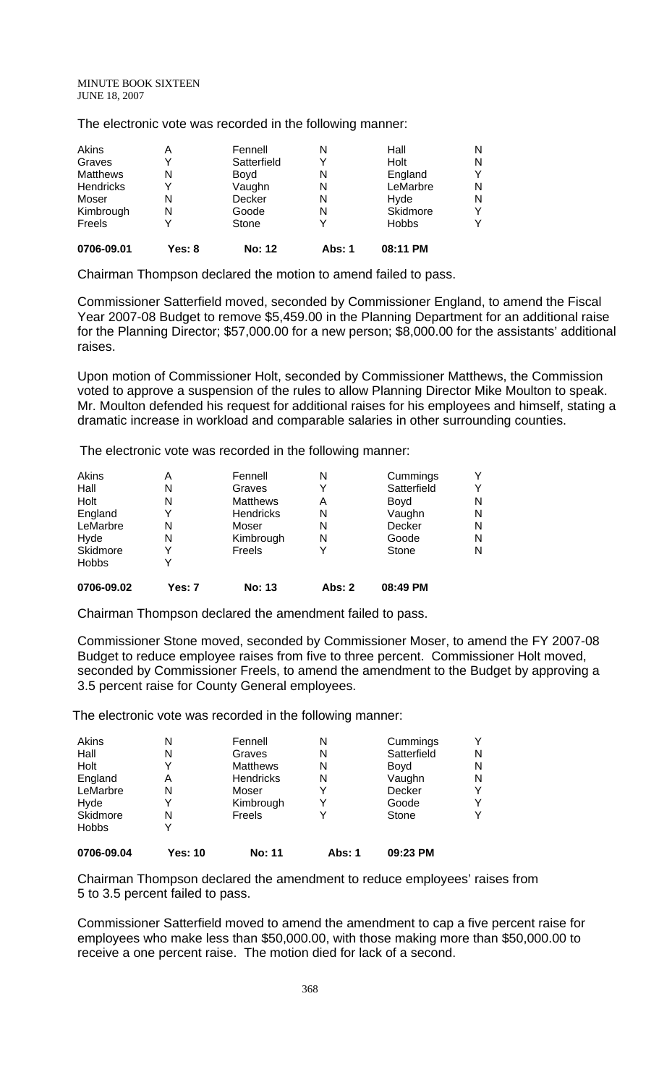The electronic vote was recorded in the following manner:

| 0706-09.01       | Yes: 8 | <b>No: 12</b> | <b>Abs: 1</b> | 08:11 PM     |   |
|------------------|--------|---------------|---------------|--------------|---|
| Freels           | Y      | Stone         |               | <b>Hobbs</b> | v |
| Kimbrough        | N      | Goode         | N             | Skidmore     | Y |
| Moser            | N      | Decker        | N             | Hyde         | N |
| <b>Hendricks</b> | Y      | Vaughn        | N             | LeMarbre     | N |
| <b>Matthews</b>  | N      | Boyd          | N             | England      | Υ |
| Graves           | Y      | Satterfield   |               | Holt         | N |
| Akins            | Α      | Fennell       | N             | Hall         | N |

Chairman Thompson declared the motion to amend failed to pass.

Commissioner Satterfield moved, seconded by Commissioner England, to amend the Fiscal Year 2007-08 Budget to remove \$5,459.00 in the Planning Department for an additional raise for the Planning Director; \$57,000.00 for a new person; \$8,000.00 for the assistants' additional raises.

Upon motion of Commissioner Holt, seconded by Commissioner Matthews, the Commission voted to approve a suspension of the rules to allow Planning Director Mike Moulton to speak. Mr. Moulton defended his request for additional raises for his employees and himself, stating a dramatic increase in workload and comparable salaries in other surrounding counties.

The electronic vote was recorded in the following manner:

| Skidmore<br><b>Hobbs</b> | v      | Freels                    |        | Stone            | N      |
|--------------------------|--------|---------------------------|--------|------------------|--------|
| Hyde                     | N      | Kimbrough                 | N      | Goode            | N      |
| England<br>LeMarbre      | Y<br>N | <b>Hendricks</b><br>Moser | N<br>N | Vaughn<br>Decker | N<br>N |
| Holt                     | N      | <b>Matthews</b>           | Α      | Boyd             | N      |
| Hall                     | N      | Graves                    |        | Satterfield      | v      |
| Akins                    | Α      | Fennell                   | N      | Cummings         | Y      |

Chairman Thompson declared the amendment failed to pass.

Commissioner Stone moved, seconded by Commissioner Moser, to amend the FY 2007-08 Budget to reduce employee raises from five to three percent. Commissioner Holt moved, seconded by Commissioner Freels, to amend the amendment to the Budget by approving a 3.5 percent raise for County General employees.

The electronic vote was recorded in the following manner:

| Akins        | N              | Fennell         | N      | Cummings    | Υ |
|--------------|----------------|-----------------|--------|-------------|---|
| Hall         | N              | Graves          | N      | Satterfield | N |
| Holt         |                | <b>Matthews</b> | N      | Boyd        | N |
| England      | Α              | Hendricks       | N      | Vaughn      | N |
| LeMarbre     | N              | Moser           |        | Decker      | Υ |
| Hyde         | v              | Kimbrough       |        | Goode       | Y |
| Skidmore     | N              | Freels          |        | Stone       | ٧ |
| <b>Hobbs</b> |                |                 |        |             |   |
| 0706-09.04   | <b>Yes: 10</b> | <b>No: 11</b>   | Abs: 1 | 09:23 PM    |   |

Chairman Thompson declared the amendment to reduce employees' raises from 5 to 3.5 percent failed to pass.

Commissioner Satterfield moved to amend the amendment to cap a five percent raise for employees who make less than \$50,000.00, with those making more than \$50,000.00 to receive a one percent raise. The motion died for lack of a second.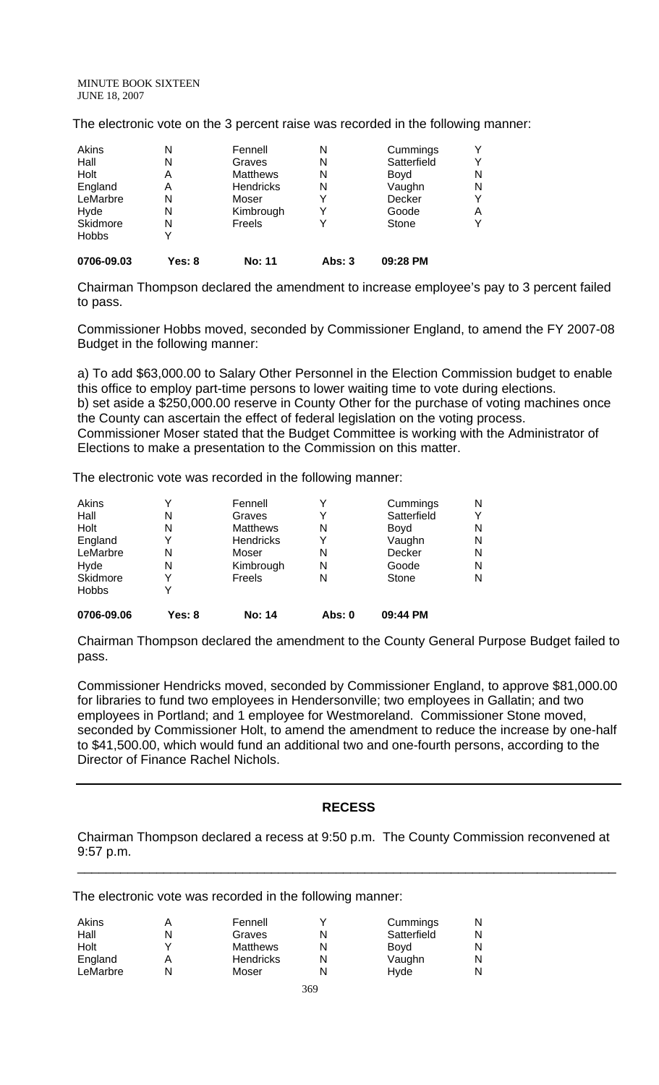The electronic vote on the 3 percent raise was recorded in the following manner:

| Akins        | N      | Fennell          | N      | Cummings    | Υ |
|--------------|--------|------------------|--------|-------------|---|
| Hall         | N      | Graves           | N      | Satterfield | Υ |
| Holt         | Α      | <b>Matthews</b>  | N      | Boyd        | N |
| England      | Α      | <b>Hendricks</b> | N      | Vaughn      | N |
| LeMarbre     | N      | Moser            |        | Decker      | Y |
| Hyde         | N      | Kimbrough        |        | Goode       | Α |
| Skidmore     | N      | Freels           |        | Stone       | Y |
| <b>Hobbs</b> |        |                  |        |             |   |
| 0706-09.03   | Yes: 8 | <b>No: 11</b>    | Abs: 3 | 09:28 PM    |   |

Chairman Thompson declared the amendment to increase employee's pay to 3 percent failed to pass.

Commissioner Hobbs moved, seconded by Commissioner England, to amend the FY 2007-08 Budget in the following manner:

a) To add \$63,000.00 to Salary Other Personnel in the Election Commission budget to enable this office to employ part-time persons to lower waiting time to vote during elections. b) set aside a \$250,000.00 reserve in County Other for the purchase of voting machines once the County can ascertain the effect of federal legislation on the voting process. Commissioner Moser stated that the Budget Committee is working with the Administrator of Elections to make a presentation to the Commission on this matter.

The electronic vote was recorded in the following manner:

| 0706-09.06   | Yes: 8 | <b>No: 14</b>    | Abs: 0 | 09:44 PM    |   |
|--------------|--------|------------------|--------|-------------|---|
| <b>Hobbs</b> |        |                  |        |             |   |
| Skidmore     |        | Freels           | N      | Stone       | N |
| Hyde         | N      | Kimbrough        | N      | Goode       | N |
| LeMarbre     | N      | Moser            | N      | Decker      | N |
| England      |        | <b>Hendricks</b> |        | Vaughn      | N |
| Holt         | N      | <b>Matthews</b>  | N      | Boyd        | N |
| Hall         | N      | Graves           |        | Satterfield | v |
| Akins        |        | Fennell          |        | Cummings    | N |

Chairman Thompson declared the amendment to the County General Purpose Budget failed to pass.

Commissioner Hendricks moved, seconded by Commissioner England, to approve \$81,000.00 for libraries to fund two employees in Hendersonville; two employees in Gallatin; and two employees in Portland; and 1 employee for Westmoreland. Commissioner Stone moved, seconded by Commissioner Holt, to amend the amendment to reduce the increase by one-half to \$41,500.00, which would fund an additional two and one-fourth persons, according to the Director of Finance Rachel Nichols.

#### **RECESS**

Chairman Thompson declared a recess at 9:50 p.m. The County Commission reconvened at 9:57 p.m.

\_\_\_\_\_\_\_\_\_\_\_\_\_\_\_\_\_\_\_\_\_\_\_\_\_\_\_\_\_\_\_\_\_\_\_\_\_\_\_\_\_\_\_\_\_\_\_\_\_\_\_\_\_\_\_\_\_\_\_\_\_\_\_\_\_\_\_\_\_\_\_\_\_\_\_

The electronic vote was recorded in the following manner:

| Akins    | Fennell          | Cummings    |  |
|----------|------------------|-------------|--|
| Hall     | Graves           | Satterfield |  |
| Holt     | <b>Matthews</b>  | Bovd        |  |
| England  | <b>Hendricks</b> | Vaughn      |  |
| LeMarbre | Moser            | Hvde        |  |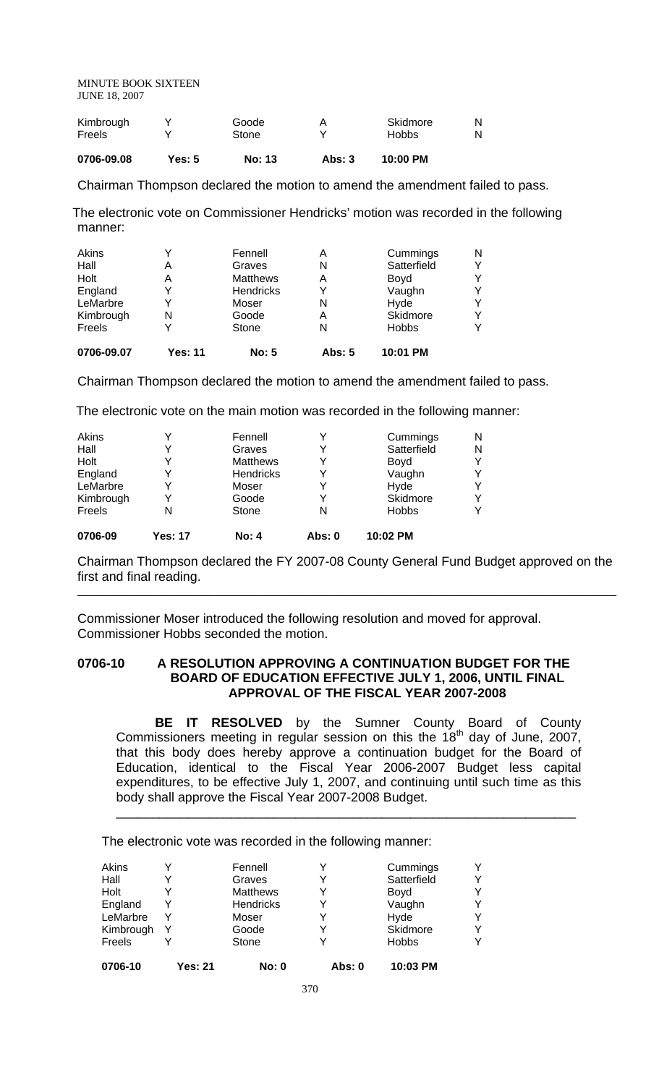| 0706-09.08 | Yes: 5 | No: 13 | Abs: $3$ | $10:00$ PM   |   |
|------------|--------|--------|----------|--------------|---|
| Freels     |        | Stone  |          | <b>Hobbs</b> | N |
| Kimbrough  |        | Goode  |          | Skidmore     | N |

Chairman Thompson declared the motion to amend the amendment failed to pass.

The electronic vote on Commissioner Hendricks' motion was recorded in the following manner:

| 0706-09.07 |   |                  |   |              |   |
|------------|---|------------------|---|--------------|---|
| Freels     |   | Stone            | N | <b>Hobbs</b> | v |
| Kimbrough  | N | Goode            | А | Skidmore     | Y |
| LeMarbre   |   | Moser            | N | Hyde         | Y |
| England    |   | <b>Hendricks</b> |   | Vaughn       | Y |
| Holt       | Α | <b>Matthews</b>  | Α | Boyd         | Y |
| Hall       | Α | Graves           | N | Satterfield  | Υ |
| Akins      |   | Fennell          | Α | Cummings     | N |

Chairman Thompson declared the motion to amend the amendment failed to pass.

The electronic vote on the main motion was recorded in the following manner:

| Holt<br><b>Matthews</b><br>England<br>Hendricks<br>LeMarbre<br>Moser<br>Kimbrough<br>Goode<br>Freels<br>Stone<br>N<br>N | 10:02 PM          |  |
|-------------------------------------------------------------------------------------------------------------------------|-------------------|--|
|                                                                                                                         | v<br><b>Hobbs</b> |  |
|                                                                                                                         | v<br>Skidmore     |  |
|                                                                                                                         | Y<br>Hyde         |  |
|                                                                                                                         | v<br>Vaughn       |  |
|                                                                                                                         | Y<br>Boyd         |  |
| Hall<br>Graves                                                                                                          | Satterfield<br>N  |  |
| Akins<br>Fennell                                                                                                        | N<br>Cummings     |  |

Chairman Thompson declared the FY 2007-08 County General Fund Budget approved on the first and final reading.

\_\_\_\_\_\_\_\_\_\_\_\_\_\_\_\_\_\_\_\_\_\_\_\_\_\_\_\_\_\_\_\_\_\_\_\_\_\_\_\_\_\_\_\_\_\_\_\_\_\_\_\_\_\_\_\_\_\_\_\_\_\_\_\_\_\_\_\_\_\_\_\_\_\_\_\_\_\_\_\_\_\_\_\_\_\_\_\_\_\_

Commissioner Moser introduced the following resolution and moved for approval. Commissioner Hobbs seconded the motion.

#### **0706-10 A RESOLUTION APPROVING A CONTINUATION BUDGET FOR THE BOARD OF EDUCATION EFFECTIVE JULY 1, 2006, UNTIL FINAL APPROVAL OF THE FISCAL YEAR 2007-2008**

**BE IT RESOLVED** by the Sumner County Board of County Commissioners meeting in regular session on this the  $18<sup>th</sup>$  day of June, 2007, that this body does hereby approve a continuation budget for the Board of Education, identical to the Fiscal Year 2006-2007 Budget less capital expenditures, to be effective July 1, 2007, and continuing until such time as this body shall approve the Fiscal Year 2007-2008 Budget.

\_\_\_\_\_\_\_\_\_\_\_\_\_\_\_\_\_\_\_\_\_\_\_\_\_\_\_\_\_\_\_\_\_\_\_\_\_\_\_\_\_\_\_\_\_\_\_\_\_\_\_\_\_\_\_\_\_\_\_\_\_\_\_\_

The electronic vote was recorded in the following manner:

| Akins     |                | Fennell         |          | Cummings     | Y |
|-----------|----------------|-----------------|----------|--------------|---|
| Hall      |                | Graves          |          | Satterfield  | Y |
| Holt      |                | <b>Matthews</b> |          | Boyd         | Y |
| England   |                | Hendricks       |          | Vaughn       | Y |
| LeMarbre  |                | Moser           |          | Hyde         | Y |
| Kimbrough |                | Goode           |          | Skidmore     | v |
| Freels    |                | Stone           |          | <b>Hobbs</b> | v |
| 0706-10   | <b>Yes: 21</b> | <b>No: 0</b>    | Abs: $0$ | 10:03 PM     |   |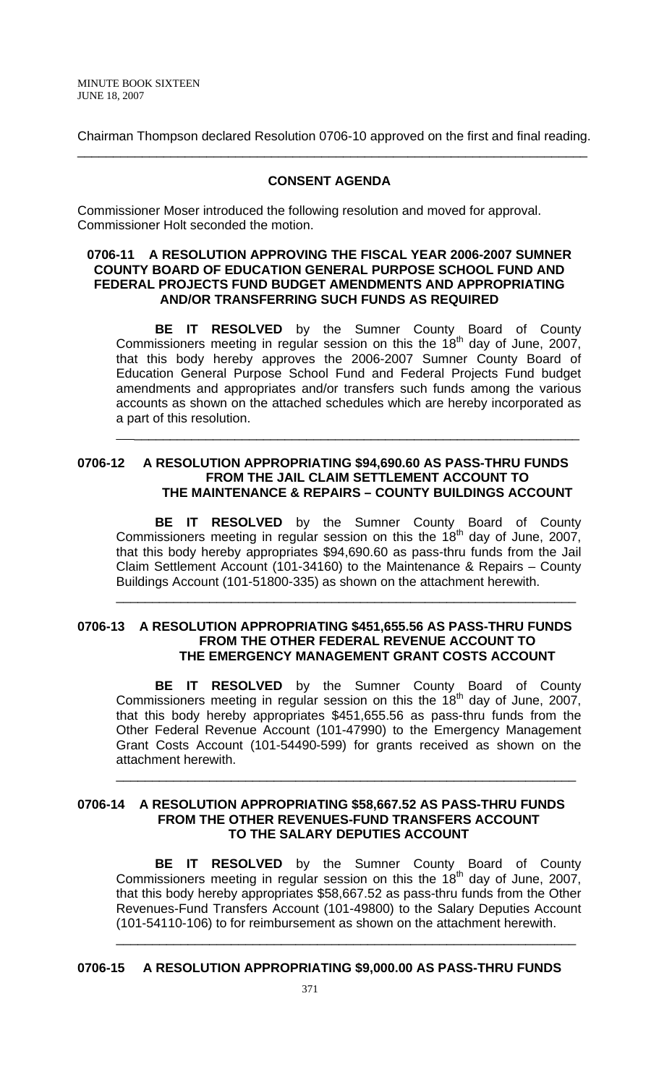Chairman Thompson declared Resolution 0706-10 approved on the first and final reading. \_\_\_\_\_\_\_\_\_\_\_\_\_\_\_\_\_\_\_\_\_\_\_\_\_\_\_\_\_\_\_\_\_\_\_\_\_\_\_\_\_\_\_\_\_\_\_\_\_\_\_\_\_\_\_\_\_\_\_\_\_\_\_\_\_\_\_\_\_\_\_

## **CONSENT AGENDA**

Commissioner Moser introduced the following resolution and moved for approval. Commissioner Holt seconded the motion.

## **0706-11 A RESOLUTION APPROVING THE FISCAL YEAR 2006-2007 SUMNER COUNTY BOARD OF EDUCATION GENERAL PURPOSE SCHOOL FUND AND FEDERAL PROJECTS FUND BUDGET AMENDMENTS AND APPROPRIATING AND/OR TRANSFERRING SUCH FUNDS AS REQUIRED**

 **BE IT RESOLVED** by the Sumner County Board of County Commissioners meeting in regular session on this the  $18<sup>th</sup>$  day of June, 2007, that this body hereby approves the 2006-2007 Sumner County Board of Education General Purpose School Fund and Federal Projects Fund budget amendments and appropriates and/or transfers such funds among the various accounts as shown on the attached schedules which are hereby incorporated as a part of this resolution.

\_\_\_\_\_\_\_\_\_\_\_\_\_\_\_\_\_\_\_\_\_\_\_\_\_\_\_\_\_\_\_\_\_\_\_\_\_\_\_\_\_\_\_\_\_\_\_\_\_\_\_\_\_\_\_\_\_\_\_\_\_\_\_\_\_

## **0706-12 A RESOLUTION APPROPRIATING \$94,690.60 AS PASS-THRU FUNDS FROM THE JAIL CLAIM SETTLEMENT ACCOUNT TO THE MAINTENANCE & REPAIRS – COUNTY BUILDINGS ACCOUNT**

**BE IT RESOLVED** by the Sumner County Board of County Commissioners meeting in regular session on this the  $18<sup>th</sup>$  day of June, 2007, that this body hereby appropriates \$94,690.60 as pass-thru funds from the Jail Claim Settlement Account (101-34160) to the Maintenance & Repairs – County Buildings Account (101-51800-335) as shown on the attachment herewith.

\_\_\_\_\_\_\_\_\_\_\_\_\_\_\_\_\_\_\_\_\_\_\_\_\_\_\_\_\_\_\_\_\_\_\_\_\_\_\_\_\_\_\_\_\_\_\_\_\_\_\_\_\_\_\_\_\_\_\_\_\_\_\_\_

#### **0706-13 A RESOLUTION APPROPRIATING \$451,655.56 AS PASS-THRU FUNDS FROM THE OTHER FEDERAL REVENUE ACCOUNT TO THE EMERGENCY MANAGEMENT GRANT COSTS ACCOUNT**

**BE IT RESOLVED** by the Sumner County Board of County Commissioners meeting in regular session on this the  $18<sup>th</sup>$  day of June, 2007, that this body hereby appropriates \$451,655.56 as pass-thru funds from the Other Federal Revenue Account (101-47990) to the Emergency Management Grant Costs Account (101-54490-599) for grants received as shown on the attachment herewith.

\_\_\_\_\_\_\_\_\_\_\_\_\_\_\_\_\_\_\_\_\_\_\_\_\_\_\_\_\_\_\_\_\_\_\_\_\_\_\_\_\_\_\_\_\_\_\_\_\_\_\_\_\_\_\_\_\_\_\_\_\_\_\_\_

#### **0706-14 A RESOLUTION APPROPRIATING \$58,667.52 AS PASS-THRU FUNDS FROM THE OTHER REVENUES-FUND TRANSFERS ACCOUNT TO THE SALARY DEPUTIES ACCOUNT**

 **BE IT RESOLVED** by the Sumner County Board of County Commissioners meeting in regular session on this the  $18<sup>th</sup>$  day of June, 2007, that this body hereby appropriates \$58,667.52 as pass-thru funds from the Other Revenues-Fund Transfers Account (101-49800) to the Salary Deputies Account (101-54110-106) to for reimbursement as shown on the attachment herewith.

\_\_\_\_\_\_\_\_\_\_\_\_\_\_\_\_\_\_\_\_\_\_\_\_\_\_\_\_\_\_\_\_\_\_\_\_\_\_\_\_\_\_\_\_\_\_\_\_\_\_\_\_\_\_\_\_\_\_\_\_\_\_\_\_

# **0706-15 A RESOLUTION APPROPRIATING \$9,000.00 AS PASS-THRU FUNDS**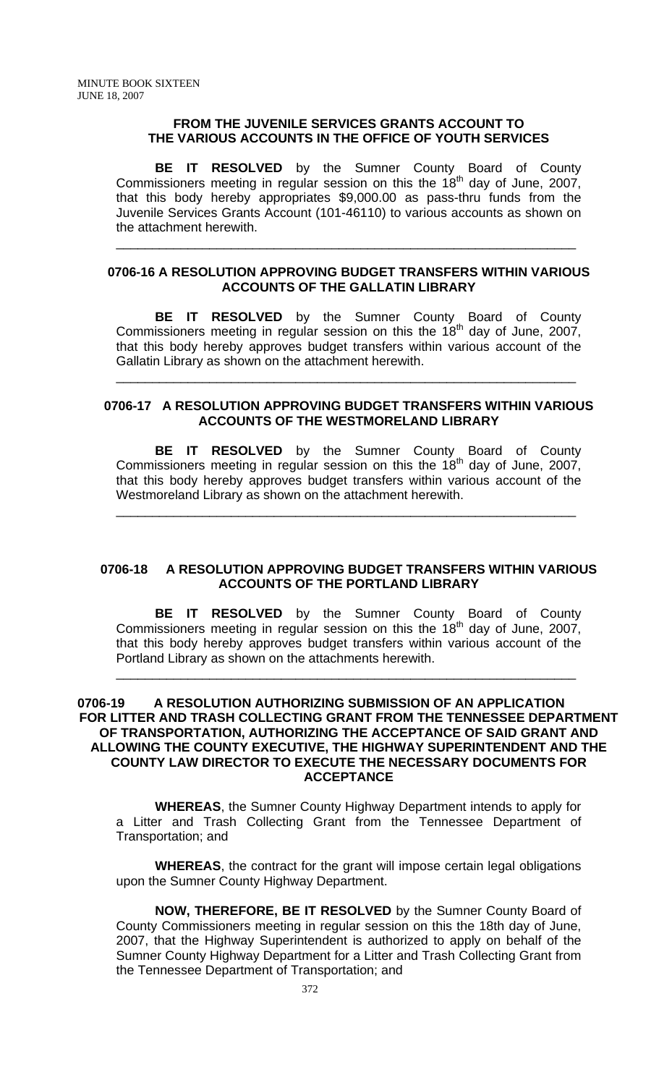#### **FROM THE JUVENILE SERVICES GRANTS ACCOUNT TO THE VARIOUS ACCOUNTS IN THE OFFICE OF YOUTH SERVICES**

 **BE IT RESOLVED** by the Sumner County Board of County Commissioners meeting in regular session on this the  $18<sup>th</sup>$  day of June, 2007, that this body hereby appropriates \$9,000.00 as pass-thru funds from the Juvenile Services Grants Account (101-46110) to various accounts as shown on the attachment herewith.

#### **0706-16 A RESOLUTION APPROVING BUDGET TRANSFERS WITHIN VARIOUS ACCOUNTS OF THE GALLATIN LIBRARY**

\_\_\_\_\_\_\_\_\_\_\_\_\_\_\_\_\_\_\_\_\_\_\_\_\_\_\_\_\_\_\_\_\_\_\_\_\_\_\_\_\_\_\_\_\_\_\_\_\_\_\_\_\_\_\_\_\_\_\_\_\_\_\_\_

**BE IT RESOLVED** by the Sumner County Board of County Commissioners meeting in regular session on this the  $18<sup>th</sup>$  day of June, 2007, that this body hereby approves budget transfers within various account of the Gallatin Library as shown on the attachment herewith.

#### **0706-17 A RESOLUTION APPROVING BUDGET TRANSFERS WITHIN VARIOUS ACCOUNTS OF THE WESTMORELAND LIBRARY**

\_\_\_\_\_\_\_\_\_\_\_\_\_\_\_\_\_\_\_\_\_\_\_\_\_\_\_\_\_\_\_\_\_\_\_\_\_\_\_\_\_\_\_\_\_\_\_\_\_\_\_\_\_\_\_\_\_\_\_\_\_\_\_\_

 **BE IT RESOLVED** by the Sumner County Board of County Commissioners meeting in regular session on this the  $18<sup>th</sup>$  day of June, 2007, that this body hereby approves budget transfers within various account of the Westmoreland Library as shown on the attachment herewith.

\_\_\_\_\_\_\_\_\_\_\_\_\_\_\_\_\_\_\_\_\_\_\_\_\_\_\_\_\_\_\_\_\_\_\_\_\_\_\_\_\_\_\_\_\_\_\_\_\_\_\_\_\_\_\_\_\_\_\_\_\_\_\_\_

## **0706-18 A RESOLUTION APPROVING BUDGET TRANSFERS WITHIN VARIOUS ACCOUNTS OF THE PORTLAND LIBRARY**

 **BE IT RESOLVED** by the Sumner County Board of County Commissioners meeting in regular session on this the 18<sup>th</sup> day of June, 2007, that this body hereby approves budget transfers within various account of the Portland Library as shown on the attachments herewith.

\_\_\_\_\_\_\_\_\_\_\_\_\_\_\_\_\_\_\_\_\_\_\_\_\_\_\_\_\_\_\_\_\_\_\_\_\_\_\_\_\_\_\_\_\_\_\_\_\_\_\_\_\_\_\_\_\_\_\_\_\_\_\_\_

#### **0706-19 A RESOLUTION AUTHORIZING SUBMISSION OF AN APPLICATION FOR LITTER AND TRASH COLLECTING GRANT FROM THE TENNESSEE DEPARTMENT OF TRANSPORTATION, AUTHORIZING THE ACCEPTANCE OF SAID GRANT AND ALLOWING THE COUNTY EXECUTIVE, THE HIGHWAY SUPERINTENDENT AND THE COUNTY LAW DIRECTOR TO EXECUTE THE NECESSARY DOCUMENTS FOR ACCEPTANCE**

**WHEREAS**, the Sumner County Highway Department intends to apply for a Litter and Trash Collecting Grant from the Tennessee Department of Transportation; and

**WHEREAS**, the contract for the grant will impose certain legal obligations upon the Sumner County Highway Department.

**NOW, THEREFORE, BE IT RESOLVED** by the Sumner County Board of County Commissioners meeting in regular session on this the 18th day of June, 2007, that the Highway Superintendent is authorized to apply on behalf of the Sumner County Highway Department for a Litter and Trash Collecting Grant from the Tennessee Department of Transportation; and